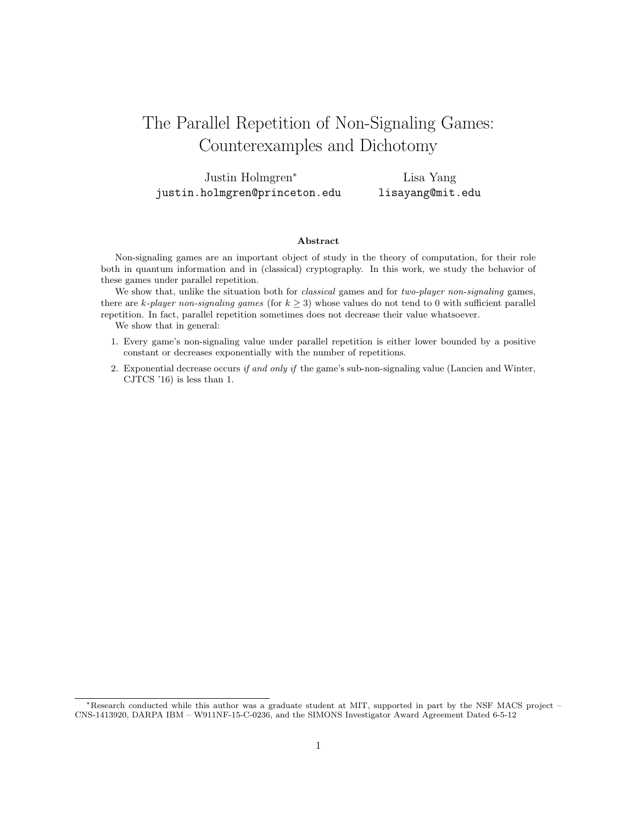# The Parallel Repetition of Non-Signaling Games: Counterexamples and Dichotomy

Justin Holmgren<sup>∗</sup> justin.holmgren@princeton.edu

Lisa Yang lisayang@mit.edu

### Abstract

Non-signaling games are an important object of study in the theory of computation, for their role both in quantum information and in (classical) cryptography. In this work, we study the behavior of these games under parallel repetition.

We show that, unlike the situation both for *classical* games and for *two-player non-signaling* games, there are k-player non-signaling games (for  $k \geq 3$ ) whose values do not tend to 0 with sufficient parallel repetition. In fact, parallel repetition sometimes does not decrease their value whatsoever.

We show that in general:

- 1. Every game's non-signaling value under parallel repetition is either lower bounded by a positive constant or decreases exponentially with the number of repetitions.
- 2. Exponential decrease occurs if and only if the game's sub-non-signaling value (Lancien and Winter, CJTCS '16) is less than 1.

<sup>∗</sup>Research conducted while this author was a graduate student at MIT, supported in part by the NSF MACS project – CNS-1413920, DARPA IBM – W911NF-15-C-0236, and the SIMONS Investigator Award Agreement Dated 6-5-12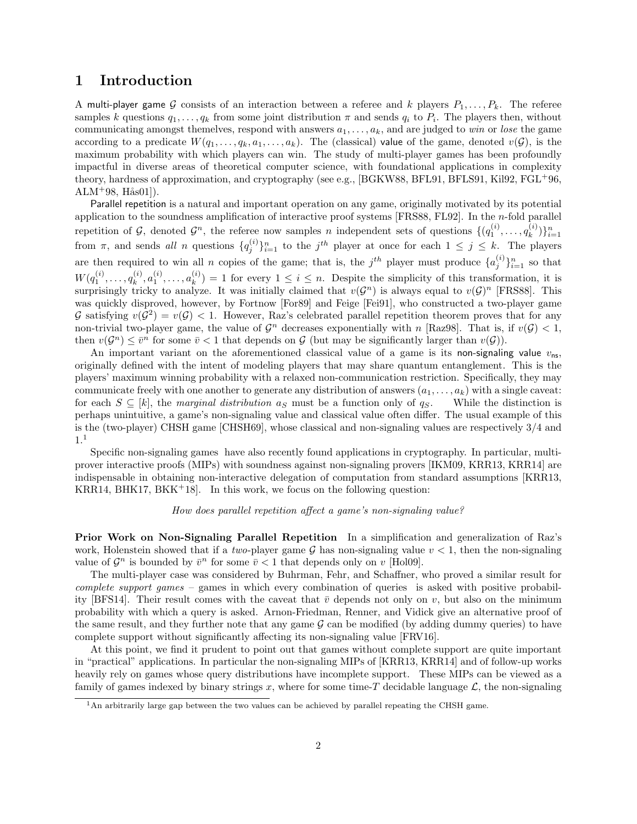# 1 Introduction

A multi-player game G consists of an interaction between a referee and k players  $P_1, \ldots, P_k$ . The referee samples k questions  $q_1, \ldots, q_k$  from some joint distribution  $\pi$  and sends  $q_i$  to  $P_i$ . The players then, without communicating amongst themelves, respond with answers  $a_1, \ldots, a_k$ , and are judged to win or lose the game according to a predicate  $W(q_1, \ldots, q_k, a_1, \ldots, a_k)$ . The (classical) value of the game, denoted  $v(G)$ , is the maximum probability with which players can win. The study of multi-player games has been profoundly impactful in diverse areas of theoretical computer science, with foundational applications in complexity theory, hardness of approximation, and cryptography (see e.g., [\[BGKW88,](#page-23-0) [BFL91,](#page-23-1) [BFLS91,](#page-23-2) [Kil92,](#page-24-0) [FGL](#page-23-3)+96,  $ALM$ <sup>+</sup>98, H $\text{a}$ s01]).

Parallel repetition is a natural and important operation on any game, originally motivated by its potential application to the soundness amplification of interactive proof systems [\[FRS88,](#page-24-2) [FL92\]](#page-23-5). In the  $n$ -fold parallel repetition of G, denoted  $\mathcal{G}^n$ , the referee now samples n independent sets of questions  $\{ (q_1^{(i)}, \ldots, q_k^{(i)} \})$  $\{i \choose k}\}_{i=1}^n$ from  $\pi$ , and sends all n questions  $\{q_j^{(i)}\}_{i=1}^n$  to the  $j^{th}$  player at once for each  $1 \leq j \leq k$ . The players are then required to win all n copies of the game; that is, the  $j^{th}$  player must produce  $\{a_j^{(i)}\}_{i=1}^n$  so that  $W(q_1^{(i)}, \ldots, q_k^{(i)})$  $a_k^{(i)}, a_1^{(i)}, \ldots, a_k^{(i)}$  $(k)$  = 1 for every  $1 \leq i \leq n$ . Despite the simplicity of this transformation, it is surprisingly tricky to analyze. It was initially claimed that  $v(G^n)$  is always equal to  $v(G)^n$  [\[FRS88\]](#page-24-2). This was quickly disproved, however, by Fortnow [\[For89\]](#page-23-6) and Feige [\[Fei91\]](#page-23-7), who constructed a two-player game G satisfying  $v(G^2) = v(G) < 1$ . However, Raz's celebrated parallel repetition theorem proves that for any non-trivial two-player game, the value of  $\mathcal{G}^n$  decreases exponentially with n [\[Raz98\]](#page-24-3). That is, if  $v(\mathcal{G}) < 1$ , then  $v(G^n) \leq \overline{v}^n$  for some  $\overline{v} < 1$  that depends on G (but may be significantly larger than  $v(G)$ ).

An important variant on the aforementioned classical value of a game is its non-signaling value  $v_{\rm ns}$ , originally defined with the intent of modeling players that may share quantum entanglement. This is the players' maximum winning probability with a relaxed non-communication restriction. Specifically, they may communicate freely with one another to generate any distribution of answers  $(a_1, \ldots, a_k)$  with a single caveat: for each  $S \subseteq [k]$ , the *marginal distribution*  $a_S$  must be a function only of  $q_S$ . While the distinction is perhaps unintuitive, a game's non-signaling value and classical value often differ. The usual example of this is the (two-player) CHSH game [\[CHSH69\]](#page-23-8), whose classical and non-signaling values are respectively 3/4 and 1.[1](#page-1-0)

Specific non-signaling games have also recently found applications in cryptography. In particular, multiprover interactive proofs (MIPs) with soundness against non-signaling provers [\[IKM09,](#page-24-4) [KRR13,](#page-24-5) [KRR14\]](#page-24-6) are indispensable in obtaining non-interactive delegation of computation from standard assumptions [\[KRR13,](#page-24-5) [KRR14,](#page-24-6) [BHK17,](#page-23-9) [BKK](#page-23-10)<sup>+</sup>18. In this work, we focus on the following question:

### How does parallel repetition affect a game's non-signaling value?

Prior Work on Non-Signaling Parallel Repetition In a simplification and generalization of Raz's work, Holenstein showed that if a two-player game  $\mathcal G$  has non-signaling value  $v < 1$ , then the non-signaling value of  $\mathcal{G}^n$  is bounded by  $\bar{v}^n$  for some  $\bar{v}$  < 1 that depends only on v [\[Hol09\]](#page-24-7).

The multi-player case was considered by Buhrman, Fehr, and Schaffner, who proved a similar result for complete support games – games in which every combination of queries is asked with positive probabil-ity [\[BFS14\]](#page-23-11). Their result comes with the caveat that  $\bar{v}$  depends not only on v, but also on the minimum probability with which a query is asked. Arnon-Friedman, Renner, and Vidick give an alternative proof of the same result, and they further note that any game  $\mathcal G$  can be modified (by adding dummy queries) to have complete support without significantly affecting its non-signaling value [\[FRV16\]](#page-24-8).

At this point, we find it prudent to point out that games without complete support are quite important in "practical" applications. In particular the non-signaling MIPs of [\[KRR13,](#page-24-5) [KRR14\]](#page-24-6) and of follow-up works heavily rely on games whose query distributions have incomplete support. These MIPs can be viewed as a family of games indexed by binary strings x, where for some time-T decidable language  $\mathcal{L}$ , the non-signaling

<span id="page-1-0"></span><sup>&</sup>lt;sup>1</sup>An arbitrarily large gap between the two values can be achieved by parallel repeating the CHSH game.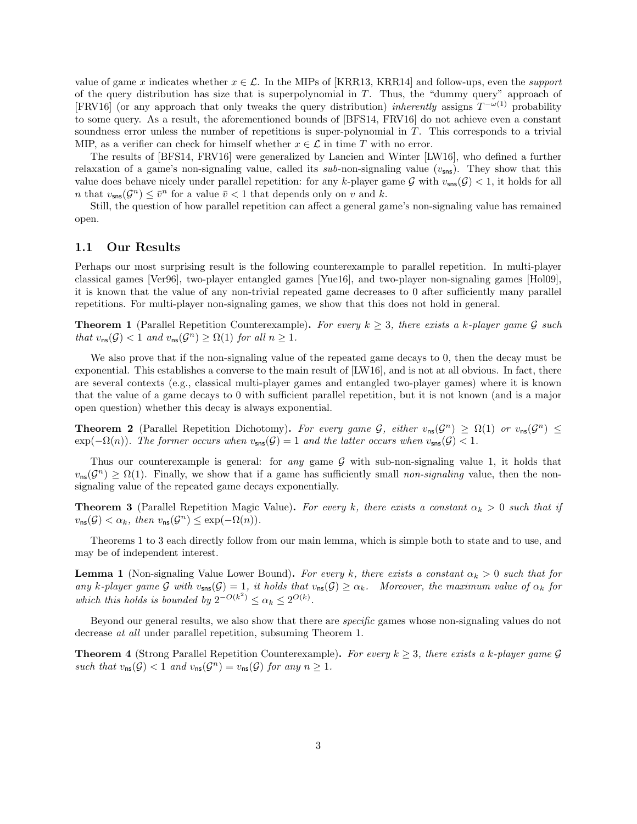value of game x indicates whether  $x \in \mathcal{L}$ . In the MIPs of [\[KRR13,](#page-24-5) [KRR14\]](#page-24-6) and follow-ups, even the *support* of the query distribution has size that is superpolynomial in  $T$ . Thus, the "dummy query" approach of [\[FRV16\]](#page-24-8) (or any approach that only tweaks the query distribution) *inherently* assigns  $T^{-\omega(1)}$  probability to some query. As a result, the aforementioned bounds of [\[BFS14,](#page-23-11) [FRV16\]](#page-24-8) do not achieve even a constant soundness error unless the number of repetitions is super-polynomial in T. This corresponds to a trivial MIP, as a verifier can check for himself whether  $x \in \mathcal{L}$  in time T with no error.

The results of [\[BFS14,](#page-23-11) [FRV16\]](#page-24-8) were generalized by Lancien and Winter [\[LW16\]](#page-24-9), who defined a further relaxation of a game's non-signaling value, called its sub-non-signaling value  $(v_{\text{sns}})$ . They show that this value does behave nicely under parallel repetition: for any k-player game G with  $v_{\rm sns}(\mathcal{G}) < 1$ , it holds for all *n* that  $v_{\text{sns}}(\mathcal{G}^n) \leq \bar{v}^n$  for a value  $\bar{v} < 1$  that depends only on v and k.

Still, the question of how parallel repetition can affect a general game's non-signaling value has remained open.

### <span id="page-2-3"></span>1.1 Our Results

Perhaps our most surprising result is the following counterexample to parallel repetition. In multi-player classical games [\[Ver96\]](#page-24-10), two-player entangled games [\[Yue16\]](#page-24-11), and two-player non-signaling games [\[Hol09\]](#page-24-7), it is known that the value of any non-trivial repeated game decreases to 0 after sufficiently many parallel repetitions. For multi-player non-signaling games, we show that this does not hold in general.

<span id="page-2-0"></span>**Theorem 1** (Parallel Repetition Counterexample). For every  $k \geq 3$ , there exists a k-player game G such that  $v_{\text{ns}}(\mathcal{G}) < 1$  and  $v_{\text{ns}}(\mathcal{G}^n) \geq \Omega(1)$  for all  $n \geq 1$ .

We also prove that if the non-signaling value of the repeated game decays to 0, then the decay must be exponential. This establishes a converse to the main result of [\[LW16\]](#page-24-9), and is not at all obvious. In fact, there are several contexts (e.g., classical multi-player games and entangled two-player games) where it is known that the value of a game decays to 0 with sufficient parallel repetition, but it is not known (and is a major open question) whether this decay is always exponential.

**Theorem 2** (Parallel Repetition Dichotomy). For every game  $\mathcal{G}$ , either  $v_{\text{ns}}(\mathcal{G}^n) \geq \Omega(1)$  or  $v_{\text{ns}}(\mathcal{G}^n) \leq$  $\exp(-\Omega(n))$ . The former occurs when  $v_{\text{sns}}(\mathcal{G}) = 1$  and the latter occurs when  $v_{\text{sns}}(\mathcal{G}) < 1$ .

Thus our counterexample is general: for any game  $G$  with sub-non-signaling value 1, it holds that  $v_{\text{ns}}(\mathcal{G}^n) \geq \Omega(1)$ . Finally, we show that if a game has sufficiently small non-signaling value, then the nonsignaling value of the repeated game decays exponentially.

<span id="page-2-1"></span>**Theorem 3** (Parallel Repetition Magic Value). For every k, there exists a constant  $\alpha_k > 0$  such that if  $v_{\text{ns}}(\mathcal{G}) < \alpha_k$ , then  $v_{\text{ns}}(\mathcal{G}^n) \leq \exp(-\Omega(n)).$ 

Theorems [1](#page-2-0) to [3](#page-2-1) each directly follow from our main lemma, which is simple both to state and to use, and may be of independent interest.

<span id="page-2-2"></span>**Lemma 1** (Non-signaling Value Lower Bound). For every k, there exists a constant  $\alpha_k > 0$  such that for any k-player game G with  $v_{\rm sns}(\mathcal{G}) = 1$ , it holds that  $v_{\rm ns}(\mathcal{G}) \ge \alpha_k$ . Moreover, the maximum value of  $\alpha_k$  for which this holds is bounded by  $2^{-O(k^2)} \leq \alpha_k \leq 2^{O(k)}$ .

Beyond our general results, we also show that there are specific games whose non-signaling values do not decrease at all under parallel repetition, subsuming Theorem [1.](#page-2-0)

<span id="page-2-4"></span>**Theorem 4** (Strong Parallel Repetition Counterexample). For every  $k \geq 3$ , there exists a k-player game G such that  $v_{\text{ns}}(\mathcal{G}) < 1$  and  $v_{\text{ns}}(\mathcal{G}^n) = v_{\text{ns}}(\mathcal{G})$  for any  $n \geq 1$ .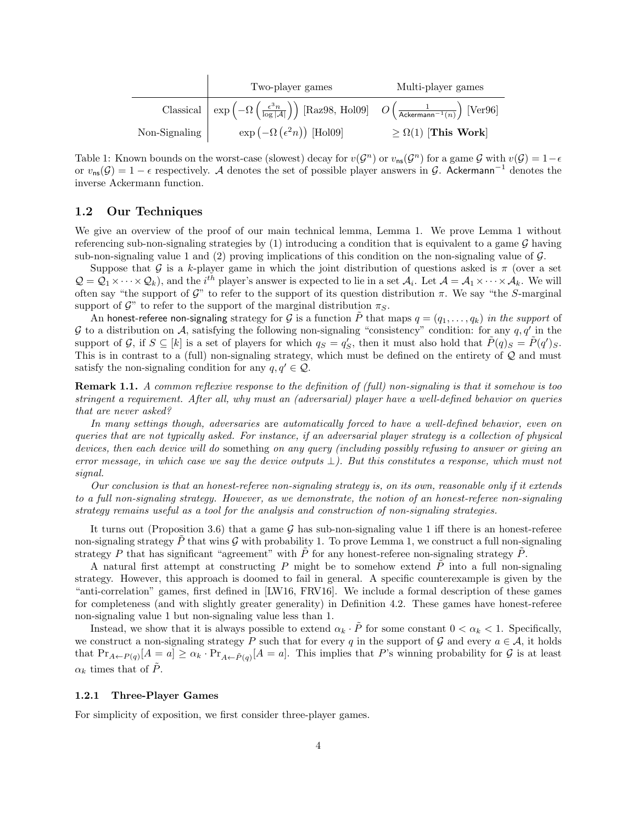|                       | Two-player games                                                                                                                                                                   | Multi-player games           |
|-----------------------|------------------------------------------------------------------------------------------------------------------------------------------------------------------------------------|------------------------------|
|                       | Classical $\left  \exp \left( -\Omega \left( \frac{\epsilon^3 n}{\log  \mathcal{A} } \right) \right)$ [Raz98, Hol09] $O\left( \frac{1}{\text{ Ackermann}^{-1}(n)} \right)$ [Ver96] |                              |
| Non-Signaling $\vert$ | $\exp(-\Omega(\epsilon^2 n))$ [Hol09]                                                                                                                                              | $\geq \Omega(1)$ [This Work] |

Table 1: Known bounds on the worst-case (slowest) decay for  $v(\mathcal{G}^n)$  or  $v_{\text{ns}}(\mathcal{G}^n)$  for a game  $\mathcal G$  with  $v(\mathcal{G}) = 1-\epsilon$ or  $v_{\text{ns}}(\mathcal{G}) = 1 - \epsilon$  respectively. A denotes the set of possible player answers in  $\mathcal{G}$ . Ackermann<sup>-1</sup> denotes the inverse Ackermann function.

### 1.2 Our Techniques

We give an overview of the proof of our main technical lemma, Lemma [1.](#page-2-2) We prove Lemma [1](#page-2-2) without referencing sub-non-signaling strategies by  $(1)$  introducing a condition that is equivalent to a game G having sub-non-signaling value 1 and (2) proving implications of this condition on the non-signaling value of  $\mathcal{G}$ .

Suppose that G is a k-player game in which the joint distribution of questions asked is  $\pi$  (over a set  $\mathcal{Q} = \mathcal{Q}_1 \times \cdots \times \mathcal{Q}_k$ , and the *i*<sup>th</sup> player's answer is expected to lie in a set  $\mathcal{A}_i$ . Let  $\mathcal{A} = \mathcal{A}_1 \times \cdots \times \mathcal{A}_k$ . We will often say "the support of G" to refer to the support of its question distribution  $\pi$ . We say "the S-marginal" support of  $\mathcal{G}$ " to refer to the support of the marginal distribution  $\pi_S$ .

An honest-referee non-signaling strategy for G is a function  $\tilde{P}$  that maps  $q = (q_1, \ldots, q_k)$  in the support of G to a distribution on A, satisfying the following non-signaling "consistency" condition: for any  $q, q'$  in the support of G, if  $S \subseteq [k]$  is a set of players for which  $q_S = q_S'$ , then it must also hold that  $\tilde{P}(q)_S = \tilde{P}(q')_S$ . This is in contrast to a (full) non-signaling strategy, which must be defined on the entirety of Q and must satisfy the non-signaling condition for any  $q, q' \in \mathcal{Q}$ .

Remark 1.1. A common reflexive response to the definition of (full) non-signaling is that it somehow is too stringent a requirement. After all, why must an (adversarial) player have a well-defined behavior on queries that are never asked?

In many settings though, adversaries are automatically forced to have a well-defined behavior, even on queries that are not typically asked. For instance, if an adversarial player strategy is a collection of physical devices, then each device will do something on any query (including possibly refusing to answer or giving an error message, in which case we say the device outputs  $\perp$ ). But this constitutes a response, which must not signal.

Our conclusion is that an honest-referee non-signaling strategy is, on its own, reasonable only if it extends to a full non-signaling strategy. However, as we demonstrate, the notion of an honest-referee non-signaling strategy remains useful as a tool for the analysis and construction of non-signaling strategies.

It turns out (Proposition [3.6\)](#page-9-0) that a game G has sub-non-signaling value 1 iff there is an honest-referee non-signaling strategy  $\tilde{P}$  that wins G with probability 1. To prove Lemma [1,](#page-2-2) we construct a full non-signaling strategy P that has significant "agreement" with  $\tilde{P}$  for any honest-referee non-signaling strategy  $\tilde{P}$ .

A natural first attempt at constructing P might be to somehow extend  $\tilde{P}$  into a full non-signaling strategy. However, this approach is doomed to fail in general. A specific counterexample is given by the "anti-correlation" games, first defined in [\[LW16,](#page-24-9) [FRV16\]](#page-24-8). We include a formal description of these games for completeness (and with slightly greater generality) in Definition [4.2.](#page-9-1) These games have honest-referee non-signaling value 1 but non-signaling value less than 1.

Instead, we show that it is always possible to extend  $\alpha_k \cdot \tilde{P}$  for some constant  $0 < \alpha_k < 1$ . Specifically, we construct a non-signaling strategy P such that for every q in the support of G and every  $a \in \mathcal{A}$ , it holds that  $Pr_{A\leftarrow P(q)}[A=a] \ge \alpha_k \cdot Pr_{A\leftarrow \tilde{P}(q)}[A=a]$ . This implies that P's winning probability for G is at least  $\alpha_k$  times that of  $\tilde{P}$ .

#### <span id="page-3-0"></span>1.2.1 Three-Player Games

For simplicity of exposition, we first consider three-player games.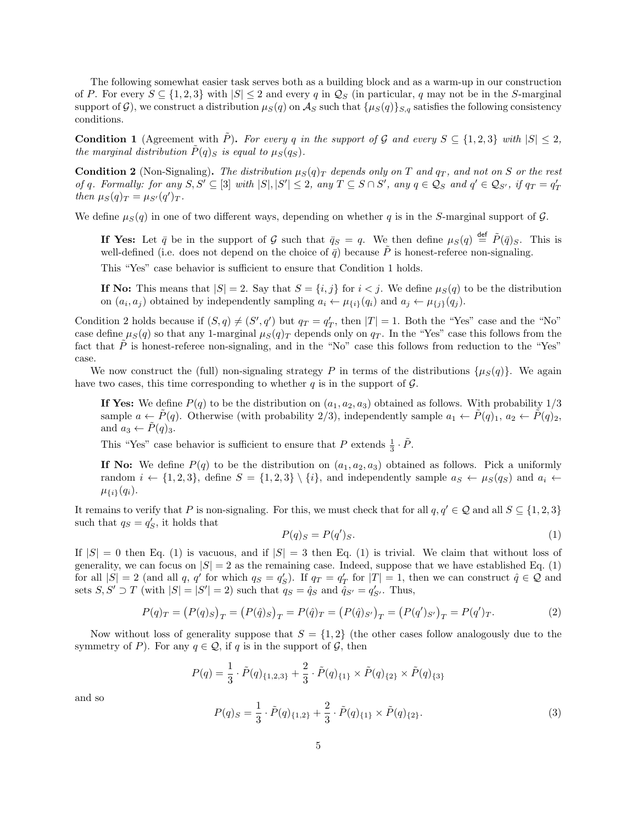The following somewhat easier task serves both as a building block and as a warm-up in our construction of P. For every  $S \subseteq \{1,2,3\}$  with  $|S| \leq 2$  and every q in  $\mathcal{Q}_S$  (in particular, q may not be in the S-marginal support of G), we construct a distribution  $\mu_S(q)$  on  $\mathcal{A}_S$  such that  $\{\mu_S(q)\}_{S,q}$  satisfies the following consistency conditions.

<span id="page-4-0"></span>**Condition 1** (Agreement with  $\tilde{P}$ ). For every q in the support of G and every  $S \subseteq \{1,2,3\}$  with  $|S| \leq 2$ , the marginal distribution  $\tilde{P}(q)_{S}$  is equal to  $\mu_{S}(q_{S})$ .

<span id="page-4-1"></span>**Condition 2** (Non-Signaling). The distribution  $\mu_S(q)_T$  depends only on T and  $q_T$ , and not on S or the rest of q. Formally: for any  $S, S' \subseteq [3]$  with  $|S|, |S'| \leq 2$ , any  $T \subseteq S \cap S'$ , any  $q \in \mathcal{Q}_S$  and  $q' \in \mathcal{Q}_{S'}$ , if  $q_T = q'_T$ then  $\mu_S(q)_T = \mu_{S'}(q')_T$ .

We define  $\mu_S(q)$  in one of two different ways, depending on whether q is in the S-marginal support of  $\mathcal G$ .

If Yes: Let  $\bar{q}$  be in the support of G such that  $\bar{q}_S = q$ . We then define  $\mu_S(q) \stackrel{\text{def}}{=} \tilde{P}(\bar{q})_S$ . This is well-defined (i.e. does not depend on the choice of  $\bar{q}$ ) because  $\tilde{P}$  is honest-referee non-signaling.

This "Yes" case behavior is sufficient to ensure that Condition [1](#page-4-0) holds.

If No: This means that  $|S| = 2$ . Say that  $S = \{i, j\}$  for  $i < j$ . We define  $\mu_S(q)$  to be the distribution on  $(a_i, a_j)$  obtained by independently sampling  $a_i \leftarrow \mu_{\{i\}}(q_i)$  and  $a_j \leftarrow \mu_{\{j\}}(q_j)$ .

Condition [2](#page-4-1) holds because if  $(S, q) \neq (S', q')$  but  $q_T = q'_T$ , then  $|T| = 1$ . Both the "Yes" case and the "No" case define  $\mu_S(q)$  so that any 1-marginal  $\mu_S(q)_T$  depends only on  $q_T$ . In the "Yes" case this follows from the fact that  $\tilde{P}$  is honest-referee non-signaling, and in the "No" case this follows from reduction to the "Yes" case.

We now construct the (full) non-signaling strategy P in terms of the distributions  $\{\mu_S(q)\}\$ . We again have two cases, this time corresponding to whether  $q$  is in the support of  $\mathcal{G}$ .

If Yes: We define  $P(q)$  to be the distribution on  $(a_1, a_2, a_3)$  obtained as follows. With probability  $1/3$ sample  $a \leftarrow P(q)$ . Otherwise (with probability 2/3), independently sample  $a_1 \leftarrow P(q)_1$ ,  $a_2 \leftarrow P(q)_2$ , and  $a_3 \leftarrow \tilde{P}(q)_3$ .

This "Yes" case behavior is sufficient to ensure that P extends  $\frac{1}{3} \cdot \tilde{P}$ .

If No: We define  $P(q)$  to be the distribution on  $(a_1, a_2, a_3)$  obtained as follows. Pick a uniformly random  $i \leftarrow \{1, 2, 3\}$ , define  $S = \{1, 2, 3\} \setminus \{i\}$ , and independently sample  $a_S \leftarrow \mu_S(q_S)$  and  $a_i \leftarrow$  $\mu_{\{i\}}(q_i).$ 

It remains to verify that P is non-signaling. For this, we must check that for all  $q, q' \in \mathcal{Q}$  and all  $S \subseteq \{1, 2, 3\}$ such that  $q_S = q'_S$ , it holds that

<span id="page-4-2"></span>
$$
P(q)_S = P(q')_S. \tag{1}
$$

If  $|S| = 0$  then Eq. [\(1\)](#page-4-2) is vacuous, and if  $|S| = 3$  then Eq. (1) is trivial. We claim that without loss of generality, we can focus on  $|S| = 2$  as the remaining case. Indeed, suppose that we have established Eq. [\(1\)](#page-4-2) for all  $|S| = 2$  (and all q, q' for which  $q_S = q_S'$ ). If  $q_T = q_T'$  for  $|T| = 1$ , then we can construct  $\hat{q} \in \mathcal{Q}$  and sets  $S, S' \supset T$  (with  $|S| = |S'| = 2$ ) such that  $q_S = \hat{q}_S$  and  $\hat{q}_{S'} = q'_{S'}$ . Thus,

<span id="page-4-4"></span>
$$
P(q)_T = (P(q)_S)_T = (P(\hat{q})_S)_T = P(\hat{q})_T = (P(\hat{q})_{S'})_T = (P(q')_{S'})_T = P(q')_T.
$$
\n(2)

Now without loss of generality suppose that  $S = \{1, 2\}$  (the other cases follow analogously due to the symmetry of P). For any  $q \in \mathcal{Q}$ , if q is in the support of  $\mathcal{G}$ , then

$$
P(q) = \frac{1}{3} \cdot \tilde{P}(q)_{\{1,2,3\}} + \frac{2}{3} \cdot \tilde{P}(q)_{\{1\}} \times \tilde{P}(q)_{\{2\}} \times \tilde{P}(q)_{\{3\}}
$$

and so

<span id="page-4-3"></span>
$$
P(q)_S = \frac{1}{3} \cdot \tilde{P}(q)_{\{1,2\}} + \frac{2}{3} \cdot \tilde{P}(q)_{\{1\}} \times \tilde{P}(q)_{\{2\}}.
$$
 (3)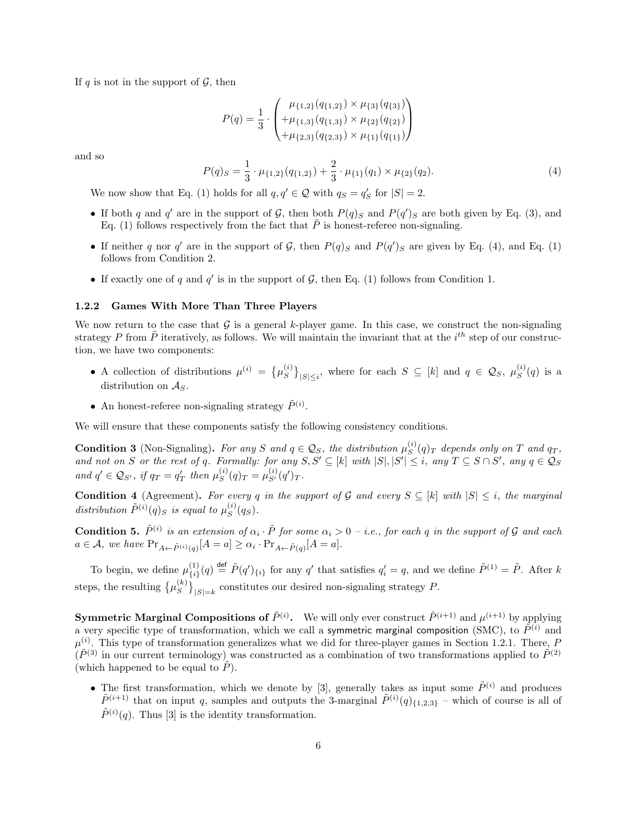If q is not in the support of  $\mathcal G$ , then

$$
P(q) = \frac{1}{3} \cdot \begin{pmatrix} \mu_{\{1,2\}}(q_{\{1,2\}}) \times \mu_{\{3\}}(q_{\{3\}}) \\ + \mu_{\{1,3\}}(q_{\{1,3\}}) \times \mu_{\{2\}}(q_{\{2\}}) \\ + \mu_{\{2,3\}}(q_{\{2,3\}}) \times \mu_{\{1\}}(q_{\{1\}}) \end{pmatrix}
$$

and so

<span id="page-5-0"></span>
$$
P(q)_S = \frac{1}{3} \cdot \mu_{\{1,2\}}(q_{\{1,2\}}) + \frac{2}{3} \cdot \mu_{\{1\}}(q_1) \times \mu_{\{2\}}(q_2). \tag{4}
$$

We now show that Eq. [\(1\)](#page-4-2) holds for all  $q, q' \in \mathcal{Q}$  with  $q_S = q'_S$  for  $|S| = 2$ .

- If both q and q' are in the support of G, then both  $P(q)_S$  and  $P(q')_S$  are both given by Eq. [\(3\)](#page-4-3), and Eq. [\(1\)](#page-4-2) follows respectively from the fact that  $\tilde{P}$  is honest-referee non-signaling.
- If neither q nor q' are in the support of G, then  $P(q)_S$  and  $P(q')_S$  are given by Eq. [\(4\)](#page-5-0), and Eq. [\(1\)](#page-4-2) follows from Condition [2.](#page-4-1)
- If exactly one of q and  $q'$  is in the support of  $G$ , then Eq. [\(1\)](#page-4-2) follows from Condition [1.](#page-4-0)

#### 1.2.2 Games With More Than Three Players

We now return to the case that  $\mathcal G$  is a general k-player game. In this case, we construct the non-signaling strategy P from  $\tilde{P}$  iteratively, as follows. We will maintain the invariant that at the  $i^{th}$  step of our construction, we have two components:

- A collection of distributions  $\mu^{(i)} = \{\mu^{(i)}_S\}$  $\{S^{(i)}\}_{|S|\leq i}$ , where for each  $S \subseteq [k]$  and  $q \in \mathcal{Q}_S$ ,  $\mu_S^{(i)}$  $S^{(i)}(q)$  is a distribution on  $\mathcal{A}_S$ .
- An honest-referee non-signaling strategy  $\tilde{P}^{(i)}$ .

<span id="page-5-2"></span>We will ensure that these components satisfy the following consistency conditions.

**Condition 3** (Non-Signaling). For any S and  $q \in \mathcal{Q}_S$ , the distribution  $\mu_S^{(i)}$  $S^{(i)}(q)_T$  depends only on T and  $q_T$ , and not on S or the rest of q. Formally: for any  $S, S' \subseteq [k]$  with  $|S|, |S'| \leq i$ , any  $T \subseteq S \cap S'$ , any  $q \in \mathcal{Q}_S$ and  $q' \in \mathcal{Q}_{S'}$ , if  $q_T = q'_T$  then  $\mu_S^{(i)}$  $S^{(i)}(q)_T = \mu_{S'}^{(i)}(q')_T.$ 

<span id="page-5-1"></span>**Condition 4** (Agreement). For every q in the support of G and every  $S \subseteq [k]$  with  $|S| \leq i$ , the marginal distribution  $\tilde{P}^{(i)}(q)_S$  is equal to  $\mu_S^{(i)}$  $S^{(i)}(q_S).$ 

**Condition 5.**  $\tilde{P}^{(i)}$  is an extension of  $\alpha_i \cdot \tilde{P}$  for some  $\alpha_i > 0$  – i.e., for each q in the support of G and each  $a \in \mathcal{A}$ , we have  $Pr_{A \leftarrow \tilde{P}^{(i)}(q)}[A = a] \geq \alpha_i \cdot Pr_{A \leftarrow \tilde{P}(q)}[A = a]$ .

To begin, we define  $\mu_{f,i}^{(1)}$  ${1 \choose {i}}(q) \stackrel{\text{def}}{=} \tilde{P}(q')_{\{i\}}$  for any q' that satisfies  $q'_{i} = q$ , and we define  $\tilde{P}^{(1)} = \tilde{P}$ . After k steps, the resulting  $\{\mu_S^{(k)}\}$  $\binom{k}{S}_{|S|=k}$  constitutes our desired non-signaling strategy P.

**Symmetric Marginal Compositions of**  $\tilde{P}^{(i)}$ . We will only ever construct  $\tilde{P}^{(i+1)}$  and  $\mu^{(i+1)}$  by applying a very specific type of transformation, which we call a symmetric marginal composition (SMC), to  $\tilde{P}^{(i)}$  and  $\mu^{(i)}$ . This type of transformation generalizes what we did for three-player games in Section [1.2.1.](#page-3-0) There, P  $(\tilde{P}^{(3)}$  in our current terminology) was constructed as a combination of two transformations applied to  $\tilde{P}^{(2)}$ (which happened to be equal to  $P$ ).

• The first transformation, which we denote by [3], generally takes as input some  $\tilde{P}^{(i)}$  and produces  $\tilde{P}^{(i+1)}$  that on input q, samples and outputs the 3-marginal  $\tilde{P}^{(i)}(q)_{\{1,2,3\}}$  – which of course is all of  $\tilde{P}^{(i)}(q)$ . Thus [3] is the identity transformation.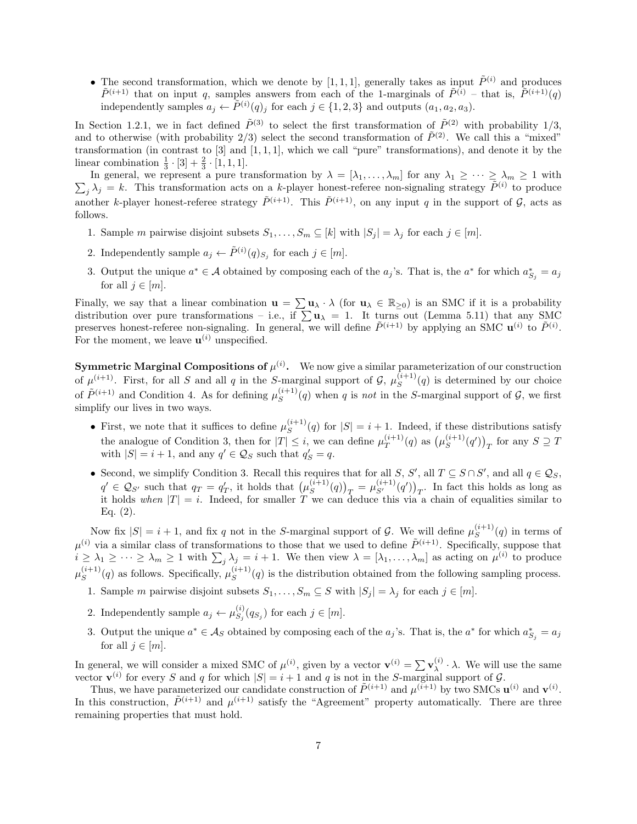• The second transformation, which we denote by [1, 1, 1], generally takes as input  $\tilde{P}^{(i)}$  and produces  $\tilde{P}^{(i+1)}$  that on input q, samples answers from each of the 1-marginals of  $\tilde{P}^{(i)}$  – that is,  $\tilde{P}^{(i+1)}(q)$ independently samples  $a_j \leftarrow \tilde{P}^{(i)}(q)_j$  for each  $j \in \{1, 2, 3\}$  and outputs  $(a_1, a_2, a_3)$ .

In Section [1.2.1,](#page-3-0) we in fact defined  $\tilde{P}^{(3)}$  to select the first transformation of  $\tilde{P}^{(2)}$  with probability 1/3, and to otherwise (with probability 2/3) select the second transformation of  $\tilde{P}^{(2)}$ . We call this a "mixed" transformation (in contrast to  $[3]$  and  $[1, 1, 1]$ , which we call "pure" transformations), and denote it by the linear combination  $\frac{1}{3} \cdot [3] + \frac{2}{3} \cdot [1, 1, 1].$ 

 $\sum_j \lambda_j = k$ . This transformation acts on a k-player honest-referee non-signaling strategy  $\tilde{P}^{(i)}$  to produce In general, we represent a pure transformation by  $\lambda = [\lambda_1, \ldots, \lambda_m]$  for any  $\lambda_1 \geq \cdots \geq \lambda_m \geq 1$  with another k-player honest-referee strategy  $\tilde{P}^{(i+1)}$ . This  $\tilde{P}^{(i+1)}$ , on any input q in the support of  $\mathcal{G}$ , acts as follows.

- 1. Sample m pairwise disjoint subsets  $S_1, \ldots, S_m \subseteq [k]$  with  $|S_j| = \lambda_j$  for each  $j \in [m]$ .
- 2. Independently sample  $a_j \leftarrow \tilde{P}^{(i)}(q)_{S_j}$  for each  $j \in [m]$ .
- 3. Output the unique  $a^* \in \mathcal{A}$  obtained by composing each of the  $a_j$ 's. That is, the  $a^*$  for which  $a_{S_j}^* = a_j$ for all  $j \in [m]$ .

Finally, we say that a linear combination  $\mathbf{u} = \sum \mathbf{u}_{\lambda} \cdot \lambda$  (for  $\mathbf{u}_{\lambda} \in \mathbb{R}_{\geq 0}$ ) is an SMC if it is a probability distribution over pure transformations – i.e., if  $\sum u_\lambda = 1$ . It turns out (Lemma [5.11\)](#page-14-0) that any SMC preserves honest-referee non-signaling. In general, we will define  $\tilde{P}^{(i+1)}$  by applying an SMC  $\mathbf{u}^{(i)}$  to  $\tilde{P}^{(i)}$ . For the moment, we leave  $\mathbf{u}^{(i)}$  unspecified.

**Symmetric Marginal Compositions of**  $\mu^{(i)}$ **.** We now give a similar parameterization of our construction of  $\mu^{(i+1)}$ . First, for all S and all q in the S-marginal support of G,  $\mu_S^{(i+1)}$  $S^{(i+1)}(q)$  is determined by our choice of  $\tilde{P}^{(i+1)}$  and Condition [4.](#page-5-1) As for defining  $\mu_S^{(i+1)}$  $S^{(i+1)}(q)$  when q is not in the S-marginal support of  $\mathcal{G}$ , we first simplify our lives in two ways.

- First, we note that it suffices to define  $\mu_S^{(i+1)}$  $S^{(i+1)}(q)$  for  $|S| = i + 1$ . Indeed, if these distributions satisfy the analogue of Condition [3,](#page-5-2) then for  $|T| \leq i$ , we can define  $\mu_T^{(i+1)}$  $T^{(i+1)}(q)$  as  $(\mu_S^{(i+1)}$  $\binom{(i+1)}{S}(q')_T$  for any  $S \supseteq T$ with  $|S| = i + 1$ , and any  $q' \in \mathcal{Q}_S$  such that  $q'_{S} = q$ .
- Second, we simplify Condition [3.](#page-5-2) Recall this requires that for all  $S, S'$ , all  $T \subseteq S \cap S'$ , and all  $q \in \mathcal{Q}_S$ ,  $q' \in \mathcal{Q}_{S'}$  such that  $q_T = q'_T$ , it holds that  $(\mu_S^{(i+1)})$  $\binom{(i+1)}{S}(q)_{T} = \mu_{S'}^{(i+1)}(q')_{T}$ . In fact this holds as long as it holds when  $|T| = i$ . Indeed, for smaller T we can deduce this via a chain of equalities similar to Eq.  $(2)$ .

Now fix  $|S| = i + 1$ , and fix q not in the S-marginal support of G. We will define  $\mu_S^{(i+1)}$  $S^{(i+1)}(q)$  in terms of  $\mu^{(i)}$  via a similar class of transformations to those that we used to define  $\tilde{P}^{(i+1)}$ . Specifically, suppose that  $i \geq \lambda_1 \geq \cdots \geq \lambda_m \geq 1$  with  $\sum_j \lambda_j = i + 1$ . We then view  $\lambda = [\lambda_1, \ldots, \lambda_m]$  as acting on  $\mu^{(i)}$  to produce  $\mu_S^{(i+1)}$  $S^{(i+1)}(q)$  as follows. Specifically,  $\mu_S^{(i+1)}$  $S^{(i+1)}(q)$  is the distribution obtained from the following sampling process.

- 1. Sample m pairwise disjoint subsets  $S_1, \ldots, S_m \subseteq S$  with  $|S_j| = \lambda_j$  for each  $j \in [m]$ .
- 2. Independently sample  $a_j \leftarrow \mu_{S_i}^{(i)}$  $S_j^{(i)}(q_{S_j})$  for each  $j \in [m]$ .
- 3. Output the unique  $a^* \in \mathcal{A}_S$  obtained by composing each of the  $a_j$ 's. That is, the  $a^*$  for which  $a_{S_j}^* = a_j$ for all  $i \in [m]$ .

In general, we will consider a mixed SMC of  $\mu^{(i)}$ , given by a vector  $\mathbf{v}^{(i)} = \sum \mathbf{v}_{\lambda}^{(i)}$  $\lambda^{(i)} \cdot \lambda$ . We will use the same vector  $\mathbf{v}^{(i)}$  for every S and q for which  $|S| = i + 1$  and q is not in the S-marginal support of G.

Thus, we have parameterized our candidate construction of  $\tilde{P}^{(i+1)}$  and  $\mu^{(i+1)}$  by two SMCs  $\mathbf{u}^{(i)}$  and  $\mathbf{v}^{(i)}$ . In this construction,  $\tilde{P}^{(i+1)}$  and  $\mu^{(i+1)}$  satisfy the "Agreement" property automatically. There are three remaining properties that must hold.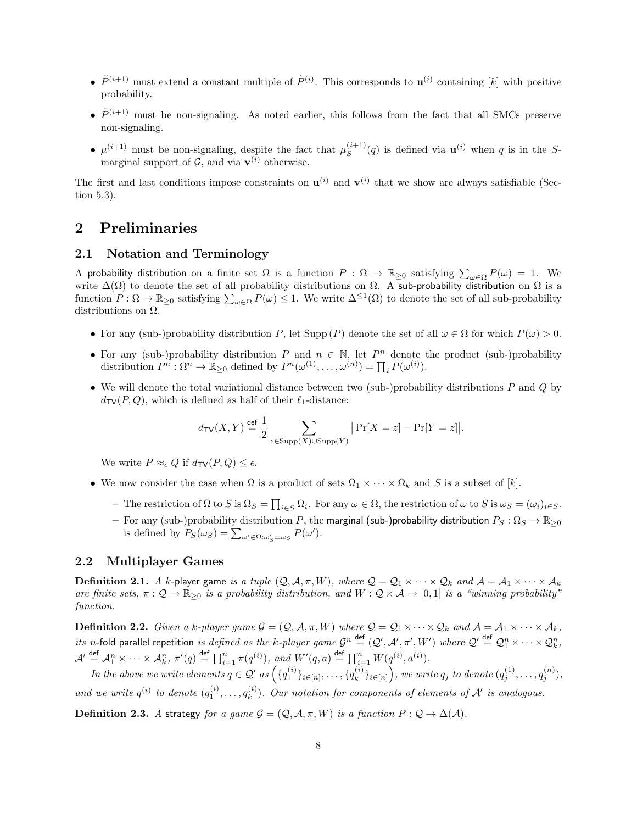- $\tilde{P}^{(i+1)}$  must extend a constant multiple of  $\tilde{P}^{(i)}$ . This corresponds to  $\mathbf{u}^{(i)}$  containing [k] with positive probability.
- $\tilde{P}^{(i+1)}$  must be non-signaling. As noted earlier, this follows from the fact that all SMCs preserve non-signaling.
- $\mu^{(i+1)}$  must be non-signaling, despite the fact that  $\mu_S^{(i+1)}$  $S^{(i+1)}(q)$  is defined via  $\mathbf{u}^{(i)}$  when q is in the Smarginal support of  $\mathcal{G}$ , and via  $\mathbf{v}^{(i)}$  otherwise.

The first and last conditions impose constraints on  $\mathbf{u}^{(i)}$  and  $\mathbf{v}^{(i)}$  that we show are always satisfiable (Section [5.3\)](#page-15-0).

# 2 Preliminaries

### 2.1 Notation and Terminology

A probability distribution on a finite set  $\Omega$  is a function  $P : \Omega \to \mathbb{R}_{\geq 0}$  satisfying  $\sum_{\omega \in \Omega} P(\omega) = 1$ . We write  $\Delta(\Omega)$  to denote the set of all probability distributions on  $\Omega$ . A sub-probability distribution on  $\Omega$  is a function  $P: \Omega \to \mathbb{R}_{\geq 0}$  satisfying  $\sum_{\omega \in \Omega} P(\omega) \leq 1$ . We write  $\Delta^{\leq 1}(\Omega)$  to denote the set of all sub-probability distributions on  $\Omega$ .

- For any (sub-)probability distribution P, let Supp (P) denote the set of all  $\omega \in \Omega$  for which  $P(\omega) > 0$ .
- For any (sub-)probability distribution P and  $n \in \mathbb{N}$ , let  $P^n$  denote the product (sub-)probability distribution  $P^n : \Omega^n \to \mathbb{R}_{\geq 0}$  defined by  $P^n(\omega^{(1)}, \ldots, \omega^{(n)}) = \prod_i P(\omega^{(i)})$ .
- We will denote the total variational distance between two (sub-)probability distributions  $P$  and  $Q$  by  $d_{\text{TV}}(P, Q)$ , which is defined as half of their  $\ell_1$ -distance:

$$
d_{\text{TV}}(X, Y) \stackrel{\text{def}}{=} \frac{1}{2} \sum_{z \in \text{Supp}(X) \cup \text{Supp}(Y)} |\Pr[X = z] - \Pr[Y = z]|.
$$

We write  $P \approx_{\epsilon} Q$  if  $d_{\text{TV}}(P,Q) \leq \epsilon$ .

- We now consider the case when  $\Omega$  is a product of sets  $\Omega_1 \times \cdots \times \Omega_k$  and S is a subset of  $[k]$ .
	- $\Box$  The restriction of  $\Omega$  to  $S$  is  $\Omega_S = \prod_{i \in S} \Omega_i$ . For any  $\omega \in \Omega$ , the restriction of  $\omega$  to  $S$  is  $\omega_S = (\omega_i)_{i \in S}$ .
	- For any (sub-)probability distribution P, the marginal (sub-)probability distribution  $P_S: \Omega_S \to \mathbb{R}_{\geq 0}$ is defined by  $P_S(\omega_S) = \sum_{\omega' \in \Omega: \omega'_S = \omega_S} P(\omega').$

### 2.2 Multiplayer Games

**Definition 2.1.** A k-player game is a tuple  $(Q, A, \pi, W)$ , where  $Q = Q_1 \times \cdots \times Q_k$  and  $A = A_1 \times \cdots \times A_k$ are finite sets,  $\pi: \mathcal{Q} \to \mathbb{R}_{\geq 0}$  is a probability distribution, and  $W: \mathcal{Q} \times \mathcal{A} \to [0,1]$  is a "winning probability" function.

**Definition 2.2.** Given a k-player game  $\mathcal{G} = (\mathcal{Q}, \mathcal{A}, \pi, W)$  where  $\mathcal{Q} = \mathcal{Q}_1 \times \cdots \times \mathcal{Q}_k$  and  $\mathcal{A} = \mathcal{A}_1 \times \cdots \times \mathcal{A}_k$ , *its n*-fold parallel repetition *is defined as the k-player game*  $\mathcal{G}^n \stackrel{\text{def}}{=} (\mathcal{Q}', \mathcal{A}', \pi', W')$  *where*  $\mathcal{Q}' \stackrel{\text{def}}{=} \mathcal{Q}_1^n \times \cdots \times \mathcal{Q}_k^n$ *,*  $\mathcal{A}' \stackrel{\text{def}}{=} \mathcal{A}_1^n \times \cdots \times \mathcal{A}_k^n$ ,  $\pi'(q) \stackrel{\text{def}}{=} \prod_{i=1}^n \pi(q^{(i)})$ , and  $W'(q, a) \stackrel{\text{def}}{=} \prod_{i=1}^n W(q^{(i)}, a^{(i)})$ .

In the above we write elements  $q \in \mathcal{Q}'$  as  $\left(\{q_1^{(i)}\}_{i \in [n]}, \ldots, \{q_k^{(i)}\} \right)$  $\{e^{(i)}_k\}_{i\in[n]}\Big),\,$  we write  $q_j$  to denote  $(q_j^{(1)},\ldots,q_j^{(n)}),$ and we write  $q^{(i)}$  to denote  $(q_1^{(i)}, \ldots, q_k^{(i)})$  $\binom{n}{k}$ . Our notation for components of elements of  $\mathcal{A}'$  is analogous.

**Definition 2.3.** A strategy for a game  $\mathcal{G} = (Q, \mathcal{A}, \pi, W)$  is a function  $P : Q \to \Delta(\mathcal{A})$ .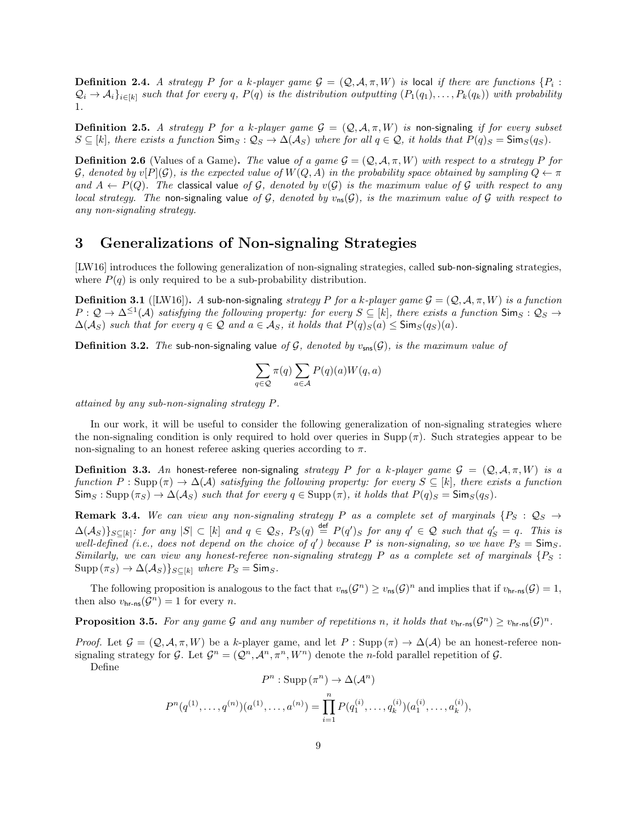**Definition 2.4.** A strategy P for a k-player game  $\mathcal{G} = (\mathcal{Q}, \mathcal{A}, \pi, W)$  is local if there are functions  $\{P_i :$  $\mathcal{Q}_i \to \mathcal{A}_i$ <sub>i</sub><sub>i∈[k]</sub> such that for every q, P(q) is the distribution outputting  $(P_1(q_1), \ldots, P_k(q_k))$  with probability 1.

**Definition 2.5.** A strategy P for a k-player game  $\mathcal{G} = (\mathcal{Q}, \mathcal{A}, \pi, W)$  is non-signaling if for every subset  $S \subseteq [k]$ , there exists a function  $\textsf{Sim}_S : \mathcal{Q}_S \to \Delta(\mathcal{A}_S)$  where for all  $q \in \mathcal{Q}$ , it holds that  $P(q)_S = \textsf{Sim}_S(q_S)$ .

**Definition 2.6** (Values of a Game). The value of a game  $\mathcal{G} = (\mathcal{Q}, \mathcal{A}, \pi, W)$  with respect to a strategy P for G, denoted by v[P](G), is the expected value of  $W(Q, A)$  in the probability space obtained by sampling  $Q \leftarrow \pi$ and  $A \leftarrow P(Q)$ . The classical value of G, denoted by  $v(G)$  is the maximum value of G with respect to any local strategy. The non-signaling value of G, denoted by  $v_{ns}(\mathcal{G})$ , is the maximum value of G with respect to any non-signaling strategy.

## 3 Generalizations of Non-signaling Strategies

[\[LW16\]](#page-24-9) introduces the following generalization of non-signaling strategies, called sub-non-signaling strategies, where  $P(q)$  is only required to be a sub-probability distribution.

**Definition 3.1** ([\[LW16\]](#page-24-9)). A sub-non-signaling strategy P for a k-player game  $\mathcal{G} = (\mathcal{Q}, \mathcal{A}, \pi, W)$  is a function  $P: \mathcal{Q} \to \Delta^{\leq 1}(\mathcal{A})$  satisfying the following property: for every  $S \subseteq [k]$ , there exists a function  $\mathsf{Sim}_S: \mathcal{Q}_S \to$  $\Delta(A_S)$  such that for every  $q \in \mathcal{Q}$  and  $a \in \mathcal{A}_S$ , it holds that  $P(q)_S(a) \leq \text{Sim}_S(q_S)(a)$ .

**Definition 3.2.** The sub-non-signaling value of G, denoted by  $v_{\text{sns}}(\mathcal{G})$ , is the maximum value of

$$
\sum_{q\in\mathcal{Q}}\pi(q)\sum_{a\in\mathcal{A}}P(q)(a)W(q,a)
$$

attained by any sub-non-signaling strategy P.

In our work, it will be useful to consider the following generalization of non-signaling strategies where the non-signaling condition is only required to hold over queries in Supp  $(\pi)$ . Such strategies appear to be non-signaling to an honest referee asking queries according to  $\pi$ .

**Definition 3.3.** An honest-referee non-signaling strategy P for a k-player game  $\mathcal{G} = (\mathcal{Q}, \mathcal{A}, \pi, W)$  is a function  $P : \text{Supp}(\pi) \to \Delta(\mathcal{A})$  satisfying the following property: for every  $S \subseteq [k]$ , there exists a function  $\text{Sim}_S : \text{Supp}(\pi_S) \to \Delta(\mathcal{A}_S)$  such that for every  $q \in \text{Supp}(\pi)$ , it holds that  $P(q)_S = \text{Sim}_S(q_S)$ .

**Remark 3.4.** We can view any non-signaling strategy P as a complete set of marginals  $\{P_S : Q_S \rightarrow$  $\Delta(A_S)$ } $_{S\subseteq[k]}$ : for any  $|S|\subset[k]$  and  $q\in\mathcal{Q}_S$ ,  $P_S(q) \stackrel{\text{def}}{=} P(q')_S$  for any  $q'\in\mathcal{Q}$  such that  $q'_S=q$ . This is well-defined (i.e., does not depend on the choice of q') because P is non-signaling, so we have  $P_S = \mathsf{Sim}_S$ . Similarly, we can view any honest-referee non-signaling strategy P as a complete set of marginals  $\{P_S: S \to S \}$  $\text{Supp}(\pi_S) \to \Delta(\mathcal{A}_S)$ <sub>S⊂[k]</sub> where  $P_S = \text{Sim}_S$ .

The following proposition is analogous to the fact that  $v_{\text{ns}}(\mathcal{G}^n) \ge v_{\text{ns}}(\mathcal{G})^n$  and implies that if  $v_{\text{hr-ns}}(\mathcal{G}) = 1$ , then also  $v_{\text{hr-ns}}(\mathcal{G}^n) = 1$  for every *n*.

<span id="page-8-0"></span>**Proposition 3.5.** For any game G and any number of repetitions n, it holds that  $v_{\text{hr-ns}}(\mathcal{G}^n) \geq v_{\text{hr-ns}}(\mathcal{G})^n$ .

*Proof.* Let  $\mathcal{G} = (\mathcal{Q}, \mathcal{A}, \pi, W)$  be a k-player game, and let P : Supp  $(\pi) \to \Delta(\mathcal{A})$  be an honest-referee nonsignaling strategy for G. Let  $\mathcal{G}^n = (\mathcal{Q}^n, \mathcal{A}^n, \pi^n, W^n)$  denote the *n*-fold parallel repetition of G.

Define

$$
P^n : \operatorname{Supp} (\pi^n) \to \Delta(\mathcal{A}^n)
$$

$$
P^{n}(q^{(1)},...,q^{(n)})(a^{(1)},...,a^{(n)}) = \prod_{i=1}^{n} P(q_1^{(i)},...,q_k^{(i)}) (a_1^{(i)},...,a_k^{(i)}),
$$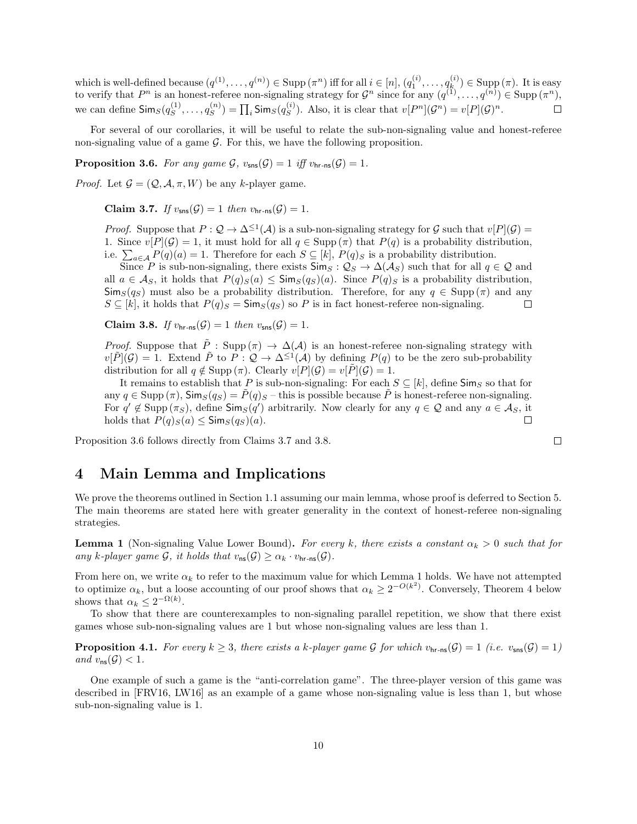which is well-defined because  $(q^{(1)}, \ldots, q^{(n)}) \in \text{Supp } (\pi^n)$  iff for all  $i \in [n], (q_1^{(i)}, \ldots, q_k^{(i)})$  $\lim_{k \to \infty} (k^{\binom{n}{2}}) \in \text{Supp } (\pi)$ . It is easy to verify that  $P^n$  is an honest-referee non-signaling strategy for  $\mathcal{G}^n$  since for any  $(q^{(1)}, \ldots, q^{(n)}) \in \text{Supp}(\pi^n)$ , we can define  $\mathsf{Sim}_S(q_S^{(1)}$  $s^{(1)}, \ldots, q_s^{(n)}$  $\binom{n}{S}=\prod_i\mathsf{Sim}_S(q^{(i)}_S)$  $S^{(i)}_{S}$ . Also, it is clear that  $v[P^{n}](\mathcal{G}^{n}) = v[P](\mathcal{G})^{n}$ .

For several of our corollaries, it will be useful to relate the sub-non-signaling value and honest-referee non-signaling value of a game  $G$ . For this, we have the following proposition.

<span id="page-9-0"></span>**Proposition 3.6.** For any game  $\mathcal{G}$ ,  $v_{\text{sns}}(\mathcal{G}) = 1$  iff  $v_{\text{hr-ns}}(\mathcal{G}) = 1$ .

<span id="page-9-2"></span>*Proof.* Let  $\mathcal{G} = (\mathcal{Q}, \mathcal{A}, \pi, W)$  be any k-player game.

Claim 3.7. If  $v_{\text{sns}}(\mathcal{G}) = 1$  then  $v_{\text{hr_ns}}(\mathcal{G}) = 1$ .

*Proof.* Suppose that  $P: \mathcal{Q} \to \Delta^{\leq 1}(\mathcal{A})$  is a sub-non-signaling strategy for  $\mathcal{G}$  such that  $v[P](\mathcal{G}) =$ 1. Since  $v[P](\mathcal{G}) = 1$ , it must hold for all  $q \in \text{Supp}(\pi)$  that  $P(q)$  is a probability distribution, i.e.  $\sum_{a \in \mathcal{A}} P(q)(a) = 1$ . Therefore for each  $S \subseteq [k]$ ,  $P(q)_S$  is a probability distribution.

Since P is sub-non-signaling, there exists  $\mathsf{Sim}_S : \mathcal{Q}_S \to \Delta(\mathcal{A}_S)$  such that for all  $q \in \mathcal{Q}$  and all  $a \in \mathcal{A}_S$ , it holds that  $P(q)_S(a) \le \text{Sim}_S(q_S)(a)$ . Since  $P(q)_S$  is a probability distribution,  $\textsf{Sim}_S(q_S)$  must also be a probability distribution. Therefore, for any  $q \in \text{Supp}(\pi)$  and any  $S \subseteq [k]$ , it holds that  $P(q)_{S} = \text{Sim}_{S}(q_{S})$  so P is in fact honest-referee non-signaling.  $\Box$ 

<span id="page-9-3"></span>Claim 3.8. If  $v_{\text{hr-ns}}(\mathcal{G}) = 1$  then  $v_{\text{sns}}(\mathcal{G}) = 1$ .

*Proof.* Suppose that  $\tilde{P}$  : Supp  $(\pi) \to \Delta(\mathcal{A})$  is an honest-referee non-signaling strategy with  $v[\tilde{P}](\mathcal{G}) = 1$ . Extend  $\tilde{P}$  to  $P: \mathcal{Q} \to \Delta^{\leq 1}(\mathcal{A})$  by defining  $P(q)$  to be the zero sub-probability distribution for all  $q \notin \text{Supp } (\pi)$ . Clearly  $v[P](\mathcal{G}) = v[P](\mathcal{G}) = 1$ .

It remains to establish that P is sub-non-signaling: For each  $S \subseteq [k]$ , define  $\textsf{Sim}_S$  so that for any  $q \in \text{Supp}(\pi)$ ,  $\text{Sim}_S(q_S) = P(q)_S$  – this is possible because P is honest-referee non-signaling. For  $q' \notin \text{Supp}(\pi_S)$ , define  $\text{Sim}_S(q')$  arbitrarily. Now clearly for any  $q \in \mathcal{Q}$  and any  $a \in \mathcal{A}_S$ , it holds that  $P(q)_S(a) \leq \mathsf{Sim}_S(q_S)(a)$ .  $\Box$ 

Proposition [3.6](#page-9-0) follows directly from Claims [3.7](#page-9-2) and [3.8.](#page-9-3)

### 4 Main Lemma and Implications

We prove the theorems outlined in Section [1.1](#page-2-3) assuming our main lemma, whose proof is deferred to Section [5.](#page-10-0) The main theorems are stated here with greater generality in the context of honest-referee non-signaling strategies.

**Lemma 1** (Non-signaling Value Lower Bound). For every k, there exists a constant  $\alpha_k > 0$  such that for any k-player game G, it holds that  $v_{\text{ns}}(\mathcal{G}) \geq \alpha_k \cdot v_{\text{hr-ns}}(\mathcal{G})$ .

From here on, we write  $\alpha_k$  to refer to the maximum value for which Lemma [1](#page-2-2) holds. We have not attempted to optimize  $\alpha_k$ , but a loose accounting of our proof shows that  $\alpha_k \geq 2^{-O(k^2)}$ . Conversely, Theorem [4](#page-2-4) below shows that  $\alpha_k \leq 2^{-\Omega(k)}$ .

To show that there are counterexamples to non-signaling parallel repetition, we show that there exist games whose sub-non-signaling values are 1 but whose non-signaling values are less than 1.

<span id="page-9-4"></span>**Proposition 4.1.** For every  $k \geq 3$ , there exists a k-player game G for which  $v_{\text{hr-ns}}(\mathcal{G}) = 1$  (i.e.  $v_{\text{sm}}(\mathcal{G}) = 1$ ) and  $v_{\text{ns}}(\mathcal{G}) < 1$ .

<span id="page-9-1"></span>One example of such a game is the "anti-correlation game". The three-player version of this game was described in [\[FRV16,](#page-24-8) [LW16\]](#page-24-9) as an example of a game whose non-signaling value is less than 1, but whose sub-non-signaling value is 1.

 $\Box$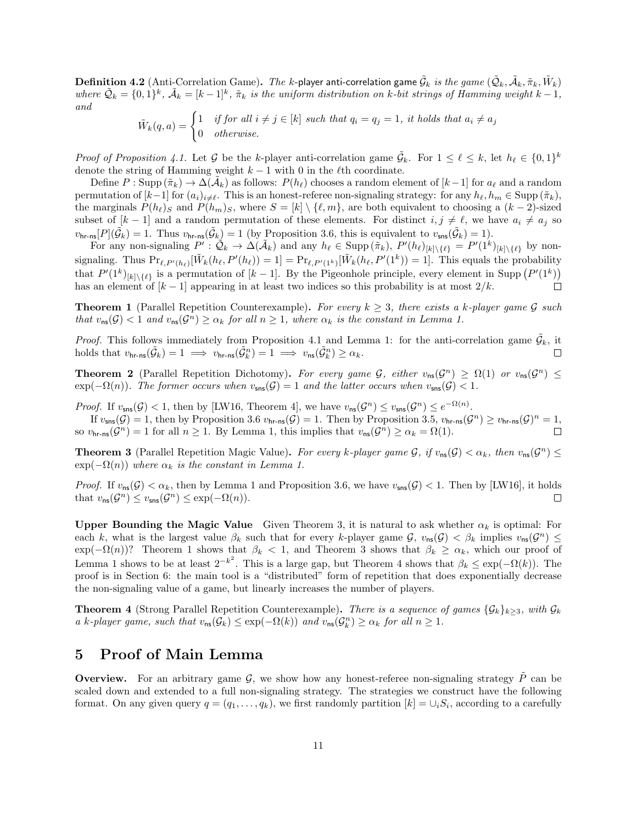$\bf{Definition~4.2}$   $(\rm Anti\text{-}Correlation\text{ Game})$ .  $\emph{The k-player anti-correlation game }\tilde{\mathcal{G}}_k\text{ is the game }(\tilde{\mathcal{Q}}_k,\tilde{\mathcal{A}}_k,\tilde{\pi}_k,\tilde{W}_k)$ where  $\tilde{Q}_k = \{0,1\}^k$ ,  $\tilde{A}_k = [k-1]^k$ ,  $\tilde{\pi}_k$  is the uniform distribution on k-bit strings of Hamming weight  $k-1$ , and

$$
\tilde{W}_k(q, a) = \begin{cases} 1 & \text{if for all } i \neq j \in [k] \text{ such that } q_i = q_j = 1, \text{ it holds that } a_i \neq a_j \\ 0 & \text{otherwise.} \end{cases}
$$

Proof of Proposition [4.1.](#page-9-4) Let G be the k-player anti-correlation game  $\tilde{\mathcal{G}}_k$ . For  $1 \leq \ell \leq k$ , let  $h_\ell \in \{0,1\}^k$ denote the string of Hamming weight  $k - 1$  with 0 in the  $\ell$ th coordinate.

Define  $P: \text{Supp}(\tilde{\pi}_k) \to \Delta(\tilde{\mathcal{A}}_k)$  as follows:  $P(h_\ell)$  chooses a random element of  $[k-1]$  for  $a_\ell$  and a random permutation of  $[k-1]$  for  $(a_i)_{i\neq\ell}$ . This is an honest-referee non-signaling strategy: for any  $h_\ell, h_m \in \text{Supp } (\tilde{\pi}_k)$ , the marginals  $P(h_\ell)$  and  $P(h_m)$ s, where  $S = [k] \setminus \{\ell, m\}$ , are both equivalent to choosing a  $(k - 2)$ -sized subset of  $[k-1]$  and a random permutation of these elements. For distinct  $i, j \neq \ell$ , we have  $a_i \neq a_j$  so  $v_{\text{hr-ns}}[P](\tilde{\mathcal{G}}_k) = 1$ . Thus  $v_{\text{hr-ns}}(\tilde{\mathcal{G}}_k) = 1$  (by Proposition [3.6,](#page-9-0) this is equivalent to  $v_{\text{sns}}(\tilde{\mathcal{G}}_k) = 1$ ).

For any non-signaling  $P': \mathcal{Q}_k \to \Delta(\mathcal{A}_k)$  and any  $h_\ell \in \text{Supp}(\tilde{\pi}_k)$ ,  $P'(h_\ell)_{[k]\setminus\{\ell\}} = P'(1^k)_{[k]\setminus\{\ell\}}$  by nonsignaling. Thus  $Pr_{\ell,P'(h_{\ell})}[\tilde{W}_k(h_{\ell}, P'(h_{\ell})) = 1] = Pr_{\ell,P'(1^k)}[\tilde{W}_k(h_{\ell}, P'(1^k)) = 1]$ . This equals the probability that  $P'(1^k)_{[k]\setminus\{\ell\}}$  is a permutation of  $[k-1]$ . By the Pigeonhole principle, every element in Supp  $(P'(1^k))$ has an element of  $[k-1]$  appearing in at least two indices so this probability is at most  $2/k$ .  $\Box$ 

**Theorem 1** (Parallel Repetition Counterexample). For every  $k \geq 3$ , there exists a k-player game G such that  $v_{\text{ns}}(\mathcal{G}) < 1$  and  $v_{\text{ns}}(\mathcal{G}^n) \ge \alpha_k$  for all  $n \ge 1$ , where  $\alpha_k$  is the constant in Lemma [1.](#page-2-2)

*Proof.* This follows immediately from Proposition [4.1](#page-9-4) and Lemma [1:](#page-2-2) for the anti-correlation game  $\tilde{G}_k$ , it holds that  $v_{\mathsf{hr}\text{-ns}}(\tilde{\mathcal{G}}_k) = 1 \implies v_{\mathsf{hr}\text{-ns}}(\tilde{\mathcal{G}}_k^n) = 1 \implies v_{\mathsf{ns}}(\tilde{\mathcal{G}}_k^n) \ge \alpha_k$ .  $\Box$ 

**Theorem 2** (Parallel Repetition Dichotomy). For every game  $\mathcal{G}$ , either  $v_{\text{ns}}(\mathcal{G}^n) \ge \Omega(1)$  or  $v_{\text{ns}}(\mathcal{G}^n) \le$  $\exp(-\Omega(n))$ . The former occurs when  $v_{\text{sns}}(\mathcal{G}) = 1$  and the latter occurs when  $v_{\text{sns}}(\mathcal{G}) < 1$ .

*Proof.* If  $v_{\text{sns}}(\mathcal{G}) < 1$ , then by [\[LW16,](#page-24-9) Theorem 4], we have  $v_{\text{ns}}(\mathcal{G}^n) \le v_{\text{sns}}(\mathcal{G}^n) \le e^{-\Omega(n)}$ .

If  $v_{\mathsf{sns}}(\mathcal{G}) = 1$ , then by Proposition [3.6](#page-9-0)  $v_{\mathsf{hr-ns}}(\mathcal{G}) = 1$ . Then by Proposition [3.5,](#page-8-0)  $v_{\mathsf{hr-ns}}(\mathcal{G}^n) \ge v_{\mathsf{hr-ns}}(\mathcal{G})^n = 1$ , so  $v_{\text{hr-ns}}(\mathcal{G}^n) = 1$  for all  $n \geq 1$ . By Lemma [1,](#page-2-2) this implies that  $v_{\text{ns}}(\mathcal{G}^n) \geq \alpha_k = \Omega(1)$ .  $\Box$ 

**Theorem 3** (Parallel Repetition Magic Value). For every k-player game G, if  $v_{ns}(\mathcal{G}) < \alpha_k$ , then  $v_{ns}(\mathcal{G}^n) \leq$  $\exp(-\Omega(n))$  where  $\alpha_k$  is the constant in Lemma [1.](#page-2-2)

*Proof.* If  $v_{\text{ns}}(\mathcal{G}) < \alpha_k$ , then by Lemma [1](#page-2-2) and Proposition [3.6,](#page-9-0) we have  $v_{\text{sns}}(\mathcal{G}) < 1$ . Then by [\[LW16\]](#page-24-9), it holds that  $v_{\text{ns}}(\mathcal{G}^n) \le v_{\text{sns}}(\mathcal{G}^n) \le \exp(-\Omega(n)).$  $\Box$ 

Upper Bounding the Magic Value Given Theorem [3,](#page-2-1) it is natural to ask whether  $\alpha_k$  is optimal: For each k, what is the largest value  $\beta_k$  such that for every k-player game  $\mathcal{G}$ ,  $v_{\text{ns}}(\mathcal{G}) < \beta_k$  implies  $v_{\text{ns}}(\mathcal{G}^n) \leq$  $\exp(-\Omega(n))$ ? Theorem [1](#page-2-0) shows that  $\beta_k < 1$ , and Theorem [3](#page-2-1) shows that  $\beta_k \geq \alpha_k$ , which our proof of Lemma [1](#page-2-2) shows to be at least  $2^{-k^2}$ . This is a large gap, but Theorem [4](#page-2-4) shows that  $\beta_k \leq \exp(-\Omega(k))$ . The proof is in Section [6:](#page-19-0) the main tool is a "distributed" form of repetition that does exponentially decrease the non-signaling value of a game, but linearly increases the number of players.

**Theorem 4** (Strong Parallel Repetition Counterexample). There is a sequence of games  $\{\mathcal{G}_k\}_{k>3}$ , with  $\mathcal{G}_k$ a k-player game, such that  $v_{\text{ns}}(\mathcal{G}_k) \leq \exp(-\Omega(k))$  and  $v_{\text{ns}}(\mathcal{G}_k^n) \geq \alpha_k$  for all  $n \geq 1$ .

# <span id="page-10-0"></span>5 Proof of Main Lemma

**Overview.** For an arbitrary game  $\mathcal{G}$ , we show how any honest-referee non-signaling strategy P can be scaled down and extended to a full non-signaling strategy. The strategies we construct have the following format. On any given query  $q = (q_1, \ldots, q_k)$ , we first randomly partition  $[k] = \cup_i S_i$ , according to a carefully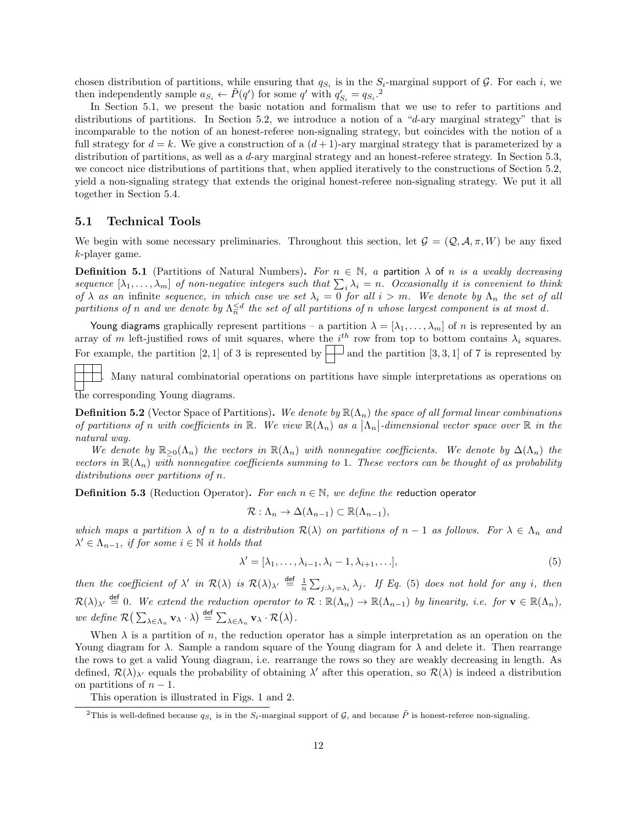chosen distribution of partitions, while ensuring that  $q_{S_i}$  is in the  $S_i$ -marginal support of  $G$ . For each i, we then independently sample  $a_{S_i} \leftarrow \tilde{P}(q')$  for some q' with  $q'_{S_i} = q_{S_i}$ .<sup>[2](#page-11-0)</sup>

In Section [5.1,](#page-11-1) we present the basic notation and formalism that we use to refer to partitions and distributions of partitions. In Section [5.2,](#page-12-0) we introduce a notion of a "d-ary marginal strategy" that is incomparable to the notion of an honest-referee non-signaling strategy, but coincides with the notion of a full strategy for  $d = k$ . We give a construction of a  $(d+1)$ -ary marginal strategy that is parameterized by a distribution of partitions, as well as a d-ary marginal strategy and an honest-referee strategy. In Section [5.3,](#page-15-0) we concoct nice distributions of partitions that, when applied iteratively to the constructions of Section [5.2,](#page-12-0) yield a non-signaling strategy that extends the original honest-referee non-signaling strategy. We put it all together in Section [5.4.](#page-17-0)

### <span id="page-11-1"></span>5.1 Technical Tools

We begin with some necessary preliminaries. Throughout this section, let  $\mathcal{G} = (Q, \mathcal{A}, \pi, W)$  be any fixed k-player game.

**Definition 5.1** (Partitions of Natural Numbers). For  $n \in \mathbb{N}$ , a partition  $\lambda$  of n is a weakly decreasing sequence  $[\lambda_1,\ldots,\lambda_m]$  of non-negative integers such that  $\sum_i\lambda_i=n$ . Occasionally it is convenient to think of  $\lambda$  as an infinite sequence, in which case we set  $\lambda_i = 0$  for all  $i > m$ . We denote by  $\Lambda_n$  the set of all partitions of n and we denote by  $\Lambda_n^{\leq d}$  the set of all partitions of n whose largest component is at most d.

Young diagrams graphically represent partitions – a partition  $\lambda = [\lambda_1, \ldots, \lambda_m]$  of n is represented by an array of m left-justified rows of unit squares, where the  $i<sup>th</sup>$  row from top to bottom contains  $\lambda_i$  squares. For example, the partition [2, 1] of 3 is represented by  $\Box$  and the partition [3, 3, 1] of 7 is represented by

. Many natural combinatorial operations on partitions have simple interpretations as operations on the corresponding Young diagrams.

**Definition 5.2** (Vector Space of Partitions). We denote by  $\mathbb{R}(\Lambda_n)$  the space of all formal linear combinations of partitions of n with coefficients in  $\mathbb{R}$ . We view  $\mathbb{R}(\Lambda_n)$  as a  $|\Lambda_n|$ -dimensional vector space over  $\mathbb R$  in the natural way.

We denote by  $\mathbb{R}_{>0}(\Lambda_n)$  the vectors in  $\mathbb{R}(\Lambda_n)$  with nonnegative coefficients. We denote by  $\Delta(\Lambda_n)$  the vectors in  $\mathbb{R}(\Lambda_n)$  with nonnegative coefficients summing to 1. These vectors can be thought of as probability distributions over partitions of n.

<span id="page-11-3"></span>**Definition 5.3** (Reduction Operator). For each  $n \in \mathbb{N}$ , we define the reduction operator

$$
\mathcal{R}: \Lambda_n \to \Delta(\Lambda_{n-1}) \subset \mathbb{R}(\Lambda_{n-1}),
$$

which maps a partition  $\lambda$  of n to a distribution  $\mathcal{R}(\lambda)$  on partitions of  $n-1$  as follows. For  $\lambda \in \Lambda_n$  and  $\lambda' \in \Lambda_{n-1}$ , if for some  $i \in \mathbb{N}$  it holds that

<span id="page-11-2"></span>
$$
\lambda' = [\lambda_1, \dots, \lambda_{i-1}, \lambda_i - 1, \lambda_{i+1}, \dots],
$$
\n(5)

then the coefficient of  $\lambda'$  in  $\mathcal{R}(\lambda)$  is  $\mathcal{R}(\lambda)_{\lambda'} \stackrel{\text{def}}{=} \frac{1}{n} \sum_{j:\lambda_j=\lambda_i} \lambda_j$ . If Eq. [\(5\)](#page-11-2) does not hold for any i, then  $\mathcal{R}(\lambda)_{\lambda'} \stackrel{\text{def}}{=} 0$ . We extend the reduction operator to  $\mathcal{R} : \mathbb{R}(\Lambda_n) \to \mathbb{R}(\Lambda_{n-1})$  by linearity, i.e. for  $\mathbf{v} \in \mathbb{R}(\Lambda_n)$ , we define  $\mathcal{R}(\sum_{\lambda \in \Lambda_n} \mathbf{v}_{\lambda} \cdot \lambda) \stackrel{\text{def}}{=} \sum_{\lambda \in \Lambda_n} \mathbf{v}_{\lambda} \cdot \mathcal{R}(\lambda)$ .

When  $\lambda$  is a partition of n, the reduction operator has a simple interpretation as an operation on the Young diagram for  $\lambda$ . Sample a random square of the Young diagram for  $\lambda$  and delete it. Then rearrange the rows to get a valid Young diagram, i.e. rearrange the rows so they are weakly decreasing in length. As defined,  $\mathcal{R}(\lambda)_{\lambda'}$  equals the probability of obtaining  $\lambda'$  after this operation, so  $\mathcal{R}(\lambda)$  is indeed a distribution on partitions of  $n-1$ .

This operation is illustrated in Figs. [1](#page-12-1) and [2.](#page-12-2)

<span id="page-11-0"></span><sup>&</sup>lt;sup>2</sup>This is well-defined because  $q_{S_i}$  is in the  $S_i$ -marginal support of  $\mathcal{G}$ , and because  $\tilde{P}$  is honest-referee non-signaling.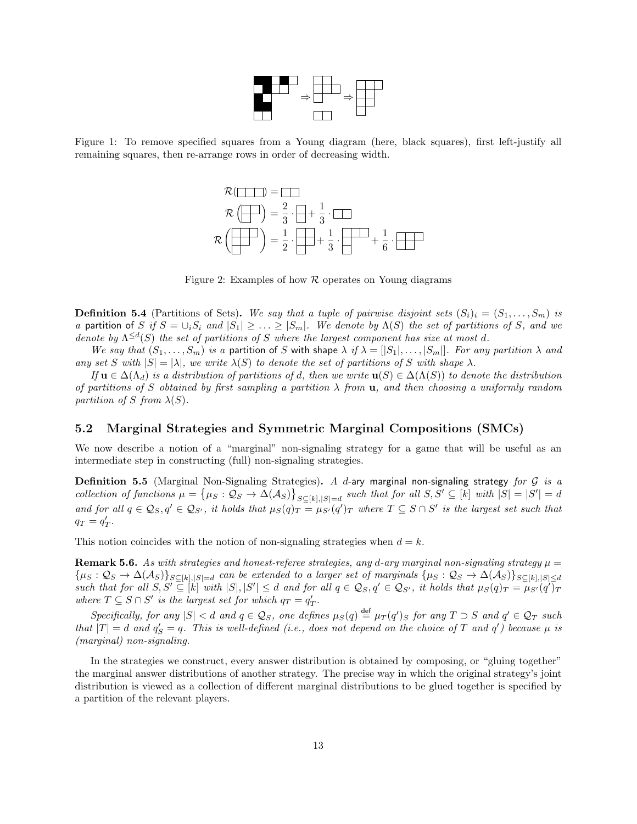

<span id="page-12-1"></span>Figure 1: To remove specified squares from a Young diagram (here, black squares), first left-justify all remaining squares, then re-arrange rows in order of decreasing width.



<span id="page-12-2"></span>Figure 2: Examples of how  $\mathcal R$  operates on Young diagrams

**Definition 5.4** (Partitions of Sets). We say that a tuple of pairwise disjoint sets  $(S_i)_i = (S_1, \ldots, S_m)$  is a partition of S if  $S = \bigcup_i S_i$  and  $|S_1| \geq \ldots \geq |S_m|$ . We denote by  $\Lambda(S)$  the set of partitions of S, and we denote by  $\Lambda^{\leq d}(S)$  the set of partitions of S where the largest component has size at most d.

We say that  $(S_1, \ldots, S_m)$  is a partition of S with shape  $\lambda$  if  $\lambda = [|S_1|, \ldots, |S_m|]$ . For any partition  $\lambda$  and any set S with  $|S| = |\lambda|$ , we write  $\lambda(S)$  to denote the set of partitions of S with shape  $\lambda$ .

If  $u \in \Delta(\Lambda_d)$  is a distribution of partitions of d, then we write  $u(S) \in \Delta(\Lambda(S))$  to denote the distribution of partitions of S obtained by first sampling a partition  $\lambda$  from **u**, and then choosing a uniformly random partition of S from  $\lambda(S)$ .

### <span id="page-12-0"></span>5.2 Marginal Strategies and Symmetric Marginal Compositions (SMCs)

We now describe a notion of a "marginal" non-signaling strategy for a game that will be useful as an intermediate step in constructing (full) non-signaling strategies.

Definition 5.5 (Marginal Non-Signaling Strategies). A d-ary marginal non-signaling strategy for  $G$  is a collection of functions  $\mu = {\mu_S : \mathcal{Q}_S \to \Delta(\mathcal{A}_S)}_{S \subseteq [k], |S| = d}$  such that for all  $S, S' \subseteq [k]$  with  $|S| = |S'| = d$ and for all  $q \in \mathcal{Q}_S$ ,  $q' \in \mathcal{Q}_{S'}$ , it holds that  $\mu_S(q)_T = \mu_{S'}(q')_T$  where  $T \subseteq S \cap S'$  is the largest set such that  $q_T = q'_T.$ 

<span id="page-12-3"></span>This notion coincides with the notion of non-signaling strategies when  $d = k$ .

**Remark 5.6.** As with strategies and honest-referee strategies, any d-ary marginal non-signaling strategy  $\mu =$  ${\mu_S : \mathcal{Q}_S \to \Delta(\mathcal{A}_S)}_{S \subseteq [k], |S| = d}$  can be extended to a larger set of marginals  ${\mu_S : \mathcal{Q}_S \to \Delta(\mathcal{A}_S)}_{S \subseteq [k], |S| \le d}$ such that for all  $S, S' \subseteq [k]$  with  $|S|, |S'| \leq d$  and for all  $q \in \mathcal{Q}_S, q' \in \mathcal{Q}_{S'}$ , it holds that  $\mu_S(q)_T = \mu_{S'}(q')_T$ where  $T \subseteq S \cap S'$  is the largest set for which  $q_T = q'_T$ .

Specifically, for any  $|S| < d$  and  $q \in \mathcal{Q}_S$ , one defines  $\mu_S(q) \stackrel{\text{def}}{=} \mu_T(q')_S$  for any  $T \supset S$  and  $q' \in \mathcal{Q}_T$  such that  $|T| = d$  and  $q'_S = q$ . This is well-defined (i.e., does not depend on the choice of T and  $q'$ ) because  $\mu$  is (marginal) non-signaling.

In the strategies we construct, every answer distribution is obtained by composing, or "gluing together" the marginal answer distributions of another strategy. The precise way in which the original strategy's joint distribution is viewed as a collection of different marginal distributions to be glued together is specified by a partition of the relevant players.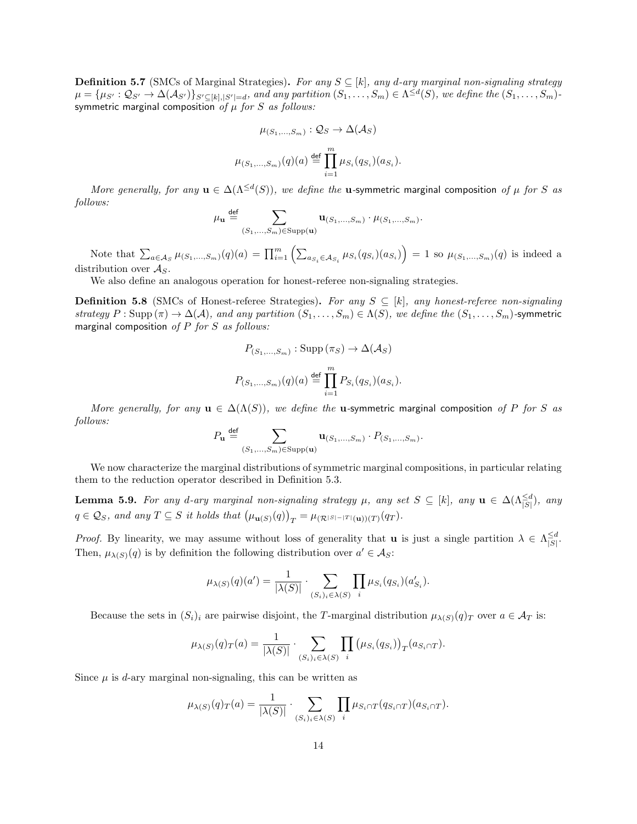**Definition 5.7** (SMCs of Marginal Strategies). For any  $S \subseteq [k]$ , any d-ary marginal non-signaling strategy  $\mu = {\mu_{S'} : \mathcal{Q}_{S'} \to \Delta(\mathcal{A}_{S'})\}_{S' \subseteq [k], |S'| = d}$ , and any partition  $(S_1, \ldots, S_m) \in \Lambda^{\leq d}(S)$ , we define the  $(S_1, \ldots, S_m)$ symmetric marginal composition of  $\mu$  for S as follows:

$$
\mu_{(S_1,\ldots,S_m)} : \mathcal{Q}_S \to \Delta(\mathcal{A}_S)
$$

$$
\mu_{(S_1,\ldots,S_m)}(q)(a) \stackrel{\text{def}}{=} \prod_{i=1}^m \mu_{S_i}(q_{S_i})(a_{S_i}).
$$

More generally, for any  $\mathbf{u} \in \Delta(\Lambda^{\leq d}(S))$ , we define the **u**-symmetric marginal composition of  $\mu$  for S as follows:

$$
\mu_{\mathbf{u}} \stackrel{\text{def}}{=} \sum_{(S_1, \ldots, S_m) \in \text{Supp}(\mathbf{u})} \mathbf{u}_{(S_1, \ldots, S_m)} \cdot \mu_{(S_1, \ldots, S_m)}.
$$

Note that  $\sum_{a \in A_S} \mu_{(S_1,...,S_m)}(q)(a) = \prod_{i=1}^m \left( \sum_{a_{S_i} \in A_{S_i}} \mu_{S_i}(q_{S_i})(a_{S_i}) \right) = 1$  so  $\mu_{(S_1,...,S_m)}(q)$  is indeed a distribution over  $A<sub>S</sub>$ .

We also define an analogous operation for honest-referee non-signaling strategies.

**Definition 5.8** (SMCs of Honest-referee Strategies). For any  $S \subseteq [k]$ , any honest-referee non-signaling strategy  $P : \text{Supp}(\pi) \to \Delta(\mathcal{A})$ , and any partition  $(S_1, \ldots, S_m) \in \Lambda(S)$ , we define the  $(S_1, \ldots, S_m)$ -symmetric marginal composition of  $P$  for  $S$  as follows:

$$
P_{(S_1,\ldots,S_m)}: \text{Supp}(\pi_S) \to \Delta(\mathcal{A}_S)
$$

$$
P_{(S_1,\ldots,S_m)}(q)(a) \stackrel{\text{def}}{=} \prod_{i=1}^m P_{S_i}(q_{S_i})(a_{S_i}).
$$

More generally, for any  $u \in \Delta(\Lambda(S))$ , we define the u-symmetric marginal composition of P for S as follows:

$$
P_{\mathbf{u}} \stackrel{\text{def}}{=} \sum_{(S_1, \dots, S_m) \in \text{Supp}(\mathbf{u})} \mathbf{u}_{(S_1, \dots, S_m)} \cdot P_{(S_1, \dots, S_m)}.
$$

We now characterize the marginal distributions of symmetric marginal compositions, in particular relating them to the reduction operator described in Definition [5.3.](#page-11-3)

<span id="page-13-0"></span>**Lemma 5.9.** For any d-ary marginal non-signaling strategy  $\mu$ , any set  $S \subseteq [k]$ , any  $\mathbf{u} \in \Delta(\Lambda_{|S|}^{\le d})$ , any  $q \in \mathcal{Q}_S$ , and any  $T \subseteq S$  it holds that  $(\mu_{\mathbf{u}(S)}(q))_T = \mu_{(\mathcal{R}^{|S|-|T|}(\mathbf{u}))(T)}(q_T)$ .

*Proof.* By linearity, we may assume without loss of generality that **u** is just a single partition  $\lambda \in \Lambda_{\leq 0}^{\leq d}$  $\frac{6}{|S|}$ . Then,  $\mu_{\lambda(S)}(q)$  is by definition the following distribution over  $a' \in \mathcal{A}_S$ :

$$
\mu_{\lambda(S)}(q)(a') = \frac{1}{|\lambda(S)|} \cdot \sum_{(S_i)_i \in \lambda(S)} \prod_i \mu_{S_i}(q_{S_i})(a'_{S_i}).
$$

Because the sets in  $(S_i)$  are pairwise disjoint, the T-marginal distribution  $\mu_{\lambda(S)}(q)_T$  over  $a \in \mathcal{A}_T$  is:

$$
\mu_{\lambda(S)}(q)_T(a) = \frac{1}{|\lambda(S)|} \cdot \sum_{(S_i)_i \in \lambda(S)} \prod_i (\mu_{S_i}(q_{S_i}))_T(a_{S_i \cap T}).
$$

Since  $\mu$  is d-ary marginal non-signaling, this can be written as

$$
\mu_{\lambda(S)}(q)_T(a) = \frac{1}{|\lambda(S)|} \cdot \sum_{(S_i)_i \in \lambda(S)} \prod_i \mu_{S_i \cap T}(q_{S_i \cap T})(a_{S_i \cap T}).
$$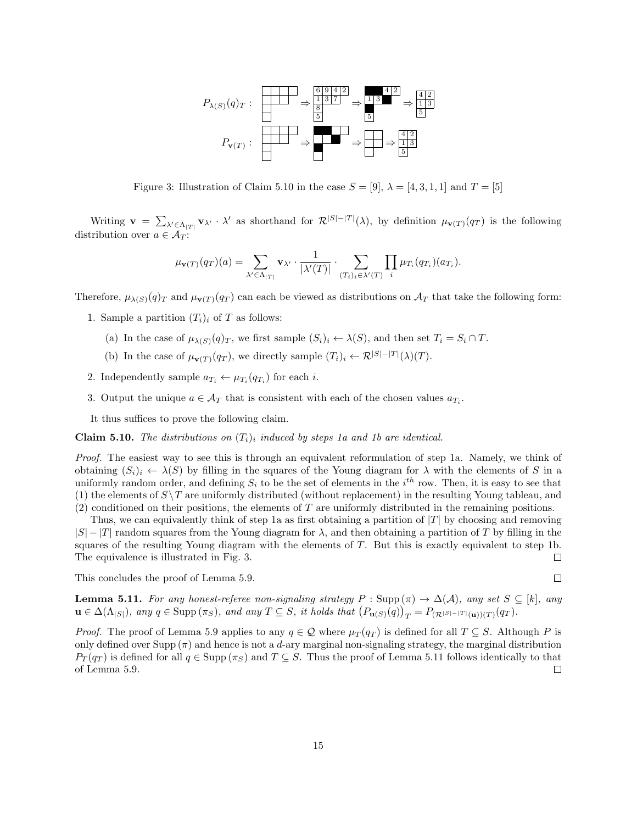

<span id="page-14-4"></span>Figure 3: Illustration of Claim [5.10](#page-14-1) in the case  $S = [9]$ ,  $\lambda = [4, 3, 1, 1]$  and  $T = [5]$ 

Writing  $\mathbf{v} = \sum_{\lambda' \in \Lambda_{|T|}} \mathbf{v}_{\lambda'} \cdot \lambda'$  as shorthand for  $\mathcal{R}^{|S|-|T|}(\lambda)$ , by definition  $\mu_{\mathbf{v}(T)}(q_T)$  is the following distribution over  $a \in \mathcal{A}_T$ :

$$
\mu_{\mathbf{v}(T)}(q_T)(a) = \sum_{\lambda' \in \Lambda_{|T|}} \mathbf{v}_{\lambda'} \cdot \frac{1}{|\lambda'(T)|} \cdot \sum_{(T_i)_i \in \lambda'(T)} \prod_i \mu_{T_i}(q_{T_i})(a_{T_i}).
$$

Therefore,  $\mu_{\lambda(S)}(q)_T$  and  $\mu_{\mathbf{v}(T)}(q_T)$  can each be viewed as distributions on  $\mathcal{A}_T$  that take the following form:

- <span id="page-14-2"></span>1. Sample a partition  $(T_i)_i$  of T as follows:
	- (a) In the case of  $\mu_{\lambda(S)}(q)_T$ , we first sample  $(S_i)_i \leftarrow \lambda(S)$ , and then set  $T_i = S_i \cap T$ .
	- (b) In the case of  $\mu_{\mathbf{v}(T)}(q_T)$ , we directly sample  $(T_i)_i \leftarrow \mathcal{R}^{|S|-|T|}(\lambda)(T)$ .
- <span id="page-14-3"></span>2. Independently sample  $a_{T_i} \leftarrow \mu_{T_i}(q_{T_i})$  for each *i*.
- 3. Output the unique  $a \in \mathcal{A}_T$  that is consistent with each of the chosen values  $a_{T_i}$ .

It thus suffices to prove the following claim.

<span id="page-14-1"></span>**Claim 5.10.** The distributions on  $(T_i)$  induced by steps [1a](#page-14-2) and [1b](#page-14-3) are identical.

Proof. The easiest way to see this is through an equivalent reformulation of step [1a.](#page-14-2) Namely, we think of obtaining  $(S_i)_i \leftarrow \lambda(S)$  by filling in the squares of the Young diagram for  $\lambda$  with the elements of S in a uniformly random order, and defining  $S_i$  to be the set of elements in the  $i^{th}$  row. Then, it is easy to see that (1) the elements of  $S\T$  are uniformly distributed (without replacement) in the resulting Young tableau, and  $(2)$  conditioned on their positions, the elements of T are uniformly distributed in the remaining positions.

Thus, we can equivalently think of step [1a](#page-14-2) as first obtaining a partition of  $|T|$  by choosing and removing  $|S| - |T|$  random squares from the Young diagram for  $\lambda$ , and then obtaining a partition of T by filling in the squares of the resulting Young diagram with the elements of T. But this is exactly equivalent to step [1b.](#page-14-3) The equivalence is illustrated in Fig. [3.](#page-14-4)  $\Box$ 

This concludes the proof of Lemma [5.9.](#page-13-0)

 $\Box$ 

<span id="page-14-0"></span>**Lemma 5.11.** For any honest-referee non-signaling strategy  $P : \text{Supp}(\pi) \to \Delta(\mathcal{A})$ , any set  $S \subseteq [k]$ , any  $\mathbf{u} \in \Delta(\Lambda_{|S|})$ , any  $q \in \text{Supp}(\pi_S)$ , and any  $T \subseteq S$ , it holds that  $\left(P_{\mathbf{u}(S)}(q)\right)_T = P_{(\mathcal{R}^{|S|-|T|}(\mathbf{u}))(T)}(q_T)$ .

*Proof.* The proof of Lemma [5.9](#page-13-0) applies to any  $q \in \mathcal{Q}$  where  $\mu_T(q_T)$  is defined for all  $T \subseteq S$ . Although P is only defined over Supp  $(\pi)$  and hence is not a d-ary marginal non-signaling strategy, the marginal distribution  $P_T(q_T)$  is defined for all  $q \in \text{Supp}(\pi_S)$  and  $T \subseteq S$ . Thus the proof of Lemma [5.11](#page-14-0) follows identically to that of Lemma [5.9.](#page-13-0)  $\Box$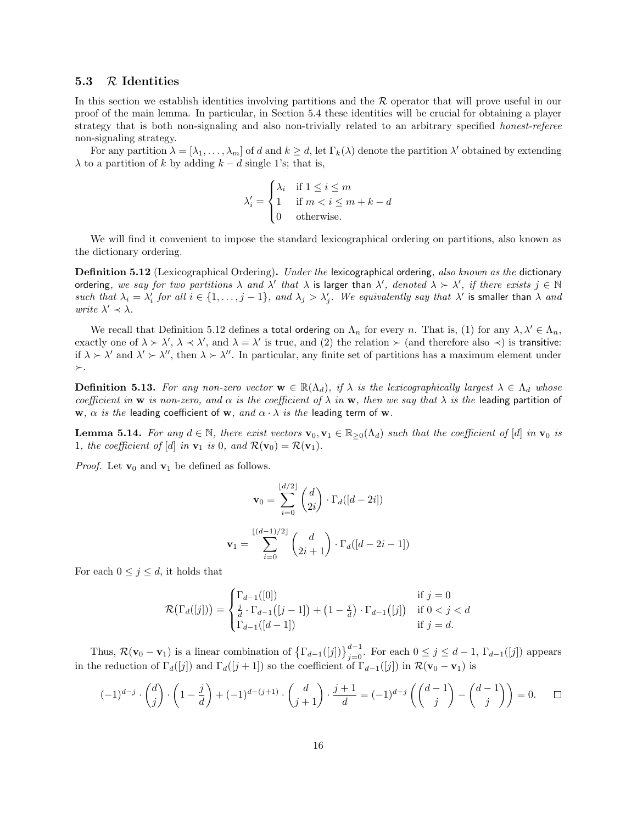### <span id="page-15-0"></span>5.3 R Identities

In this section we establish identities involving partitions and the  $R$  operator that will prove useful in our proof of the main lemma. In particular, in Section [5.4](#page-17-0) these identities will be crucial for obtaining a player strategy that is both non-signaling and also non-trivially related to an arbitrary specified honest-referee non-signaling strategy.

For any partition  $\lambda = [\lambda_1, \ldots, \lambda_m]$  of d and  $k \ge d$ , let  $\Gamma_k(\lambda)$  denote the partition  $\lambda'$  obtained by extending  $\lambda$  to a partition of k by adding  $k - d$  single 1's; that is,

$$
\lambda'_{i} = \begin{cases} \lambda_{i} & \text{if } 1 \leq i \leq m \\ 1 & \text{if } m < i \leq m + k - d \\ 0 & \text{otherwise.} \end{cases}
$$

We will find it convenient to impose the standard lexicographical ordering on partitions, also known as the dictionary ordering.

<span id="page-15-1"></span>**Definition 5.12** (Lexicographical Ordering). Under the lexicographical ordering, also known as the dictionary ordering, we say for two partitions  $\lambda$  and  $\lambda'$  that  $\lambda$  is larger than  $\lambda'$ , denoted  $\lambda \succ \lambda'$ , if there exists  $j \in \mathbb{N}$ such that  $\lambda_i = \lambda'_i$  for all  $i \in \{1, \ldots, j-1\}$ , and  $\lambda_j > \lambda'_j$ . We equivalently say that  $\lambda'$  is smaller than  $\lambda$  and write  $\lambda' \prec \lambda$ .

We recall that Definition [5.12](#page-15-1) defines a total ordering on  $\Lambda_n$  for every n. That is, (1) for any  $\lambda, \lambda' \in \Lambda_n$ , exactly one of  $\lambda \succ \lambda'$ ,  $\lambda \prec \lambda'$ , and  $\lambda = \lambda'$  is true, and (2) the relation  $\succ$  (and therefore also  $\prec$ ) is transitive: if  $\lambda > \lambda'$  and  $\lambda' > \lambda''$ , then  $\lambda > \lambda''$ . In particular, any finite set of partitions has a maximum element under  $\succ$ .

**Definition 5.13.** For any non-zero vector  $\mathbf{w} \in \mathbb{R}(\Lambda_d)$ , if  $\lambda$  is the lexicographically largest  $\lambda \in \Lambda_d$  whose coefficient in w is non-zero, and  $\alpha$  is the coefficient of  $\lambda$  in w, then we say that  $\lambda$  is the leading partition of w,  $\alpha$  is the leading coefficient of w, and  $\alpha \cdot \lambda$  is the leading term of w.

<span id="page-15-2"></span>**Lemma 5.14.** For any  $d \in \mathbb{N}$ , there exist vectors  $\mathbf{v}_0, \mathbf{v}_1 \in \mathbb{R}_{\geq 0}(\Lambda_d)$  such that the coefficient of [d] in  $\mathbf{v}_0$  is 1, the coefficient of [d] in  $\mathbf{v}_1$  is 0, and  $\mathcal{R}(\mathbf{v}_0) = \mathcal{R}(\mathbf{v}_1)$ .

*Proof.* Let  $\mathbf{v}_0$  and  $\mathbf{v}_1$  be defined as follows.

$$
\mathbf{v}_0 = \sum_{i=0}^{\lfloor d/2 \rfloor} \binom{d}{2i} \cdot \Gamma_d([d-2i])
$$

$$
\mathbf{v}_1 = \sum_{i=0}^{\lfloor (d-1)/2 \rfloor} \binom{d}{2i+1} \cdot \Gamma_d([d-2i-1])
$$

For each  $0 \leq j \leq d$ , it holds that

$$
\mathcal{R}\big(\Gamma_d([j])\big) = \begin{cases} \Gamma_{d-1}([0]) & \text{if } j = 0\\ \frac{j}{d} \cdot \Gamma_{d-1}([j-1]) + (1 - \frac{j}{d}) \cdot \Gamma_{d-1}([j]) & \text{if } 0 < j < d\\ \Gamma_{d-1}([d-1]) & \text{if } j = d. \end{cases}
$$

Thus,  $\mathcal{R}(\mathbf{v}_0 - \mathbf{v}_1)$  is a linear combination of  $\left\{ \Gamma_{d-1}([j]) \right\}_{j=0}^{d-1}$ . For each  $0 \le j \le d-1$ ,  $\Gamma_{d-1}([j])$  appears in the reduction of  $\Gamma_d([j])$  and  $\Gamma_d([j + 1])$  so the coefficient of  $\Gamma_{d-1}([j])$  in  $\mathcal{R}(\mathbf{v}_0 - \mathbf{v}_1)$  is

<span id="page-15-3"></span>
$$
(-1)^{d-j} \cdot \binom{d}{j} \cdot \left(1 - \frac{j}{d}\right) + (-1)^{d-(j+1)} \cdot \binom{d}{j+1} \cdot \frac{j+1}{d} = (-1)^{d-j} \left(\binom{d-1}{j} - \binom{d-1}{j}\right) = 0. \qquad \Box
$$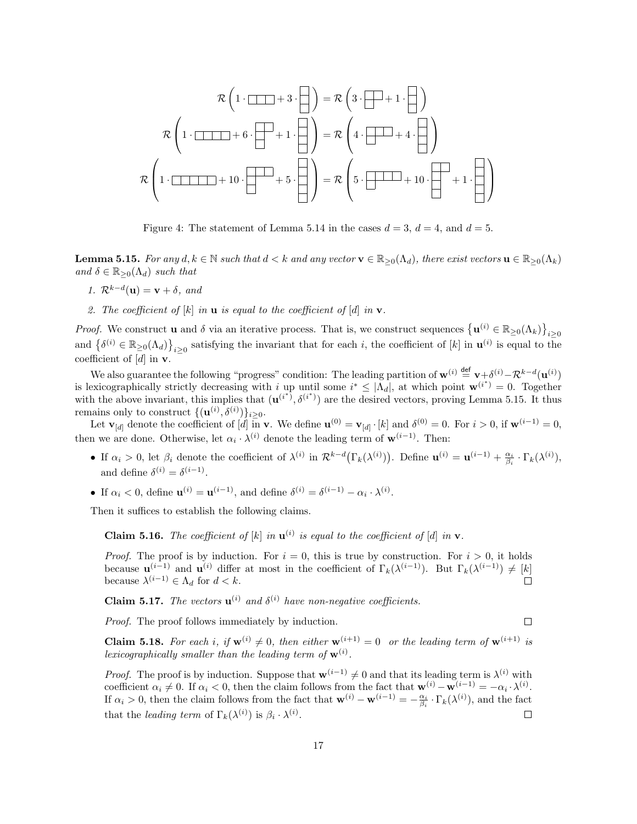$$
\mathcal{R}\left(1\cdot\boxed{1\cdot\boxed{1\cdot\boxed{1\cdot\boxed{1\cdot\boxed{1\cdot\boxed{1\cdot\boxed{1\cdot\boxed{1\cdot\boxed{1\cdot\boxed{1\cdot\boxed{1\cdot\boxed{1\cdot\boxed{1\cdot\boxed{1\cdot\boxed{1\cdot\boxed{1\cdot\boxed{1\cdot\boxed{1\cdot\boxed{1\cdot\boxed{1\cdot\boxed{1\cdot\boxed{1\cdot\boxed{1\cdot\boxed{1\cdot\boxed{1\cdot\boxed{1\cdot\boxed{1\cdot\boxed{1\cdot\boxed{1\cdot\boxed{1\cdot\boxed{1\cdot\boxed{1\cdot\boxed{1\cdot\boxed{1\cdot\boxed{1\cdot\boxed{1\cdot\boxed{1\cdot\boxed{1\cdot\boxed{1\cdot\boxed{1\cdot\boxed{1\cdot\boxed{1\cdot\boxed{1\cdot\boxed{1\cdot\boxed{1\cdot\boxed{1\cdot\boxed{1\cdot\boxed{1\cdot\boxed{1\cdot\boxed{1\cdot\boxed{1\cdot\boxed{1\cdot\boxed{1\cdot\boxed{1\cdot\boxed{1\cdot\boxed{1\cdot\boxed{1\cdot\boxed{1\cdot\boxed{1\cdot\boxed{1\cdot\boxed{1\cdot\boxed{1\cdot\boxed{1\cdot\boxed{1\cdot\boxed{1\cdot\boxed{1\cdot\boxed{1\cdot\boxed{1\cdot\boxed{1\cdot\boxed{1\cdot\boxed{1\cdot\boxed{1\cdot\boxed{1\cdot\boxed{1\cdot\boxed{1\cdot\boxed{1\cdot\boxed{1\cdot\boxed{1\cdot\boxed{1\cdot\boxed{1\cdot\boxed{1\cdot\boxed{1\cdot\boxed{1\cdot\boxed{1\cdot\boxed{1\cdot\boxed{1\cdot\boxed{1\cdot\boxed{1\cdot\boxed{1\cdot\boxed{1\cdot\boxed{1\cdot\boxed{1\cdot\boxed{1\cdot\boxed{1\cdot\boxed{1\cdot\boxed{1\cdot\boxed{1\cdot\boxed{1\cdot\boxed{1\cdot\boxed{1\cdot\boxed{1\cdot\boxed{1\cdot\boxed{1\cdot\boxed{1\cdot\boxed{1\cdot\boxed{1\cdot\boxed{1\cdot\boxed{1\cdot\boxed{1\cdot\boxed{1\cdot\boxed{1\cdot\boxed{1\cdot\boxed{1\cdot\boxed{1\cdot\boxed{1\cdot\boxed{1\cdot\boxed{1\cdot\boxed{1\cdot\boxed{1\cdot\boxed{1\cdot\boxed{1\cdot\boxed{1\cdot\boxed{1\cdot\boxed{1\cdot\boxed{1\
$$

Figure 4: The statement of Lemma [5.14](#page-15-2) in the cases  $d = 3$ ,  $d = 4$ , and  $d = 5$ .

**Lemma 5.15.** For any  $d, k \in \mathbb{N}$  such that  $d < k$  and any vector  $\mathbf{v} \in \mathbb{R}_{\geq 0}(\Lambda_d)$ , there exist vectors  $\mathbf{u} \in \mathbb{R}_{\geq 0}(\Lambda_k)$ and  $\delta \in \mathbb{R}_{\geq 0}(\Lambda_d)$  such that

- 1.  $\mathcal{R}^{k-d}(\mathbf{u}) = \mathbf{v} + \delta$ , and
- 2. The coefficient of  $[k]$  in **u** is equal to the coefficient of  $[d]$  in **v**.

*Proof.* We construct **u** and  $\delta$  via an iterative process. That is, we construct sequences  $\{u^{(i)} \in \mathbb{R}_{\geq 0}(\Lambda_k)\}_{i\geq 0}$ and  $\{\delta^{(i)} \in \mathbb{R}_{\geq 0}(\Lambda_d)\}_{i\geq 0}$  satisfying the invariant that for each i, the coefficient of [k] in  $\mathbf{u}^{(i)}$  is equal to the coefficient of  $[d]$  in **v**.

We also guarantee the following "progress" condition: The leading partition of  $\mathbf{w}^{(i)} \stackrel{\text{def}}{=} \mathbf{v} + \delta^{(i)} - \mathcal{R}^{k-d}(\mathbf{u}^{(i)})$ is lexicographically strictly decreasing with i up until some  $i^* \leq |\Lambda_d|$ , at which point  $\mathbf{w}^{(i^*)} = 0$ . Together with the above invariant, this implies that  $(\mathbf{u}^{(i^*)}, \delta^{(i^*)})$  are the desired vectors, proving Lemma [5.15.](#page-15-3) It thus remains only to construct  $\{(\mathbf{u}^{(i)}, \delta^{(i)})\}_{i \geq 0}$ .

Let  $\mathbf{v}_{[d]}$  denote the coefficient of  $[d]$  in v. We define  $\mathbf{u}^{(0)} = \mathbf{v}_{[d]} \cdot [k]$  and  $\delta^{(0)} = 0$ . For  $i > 0$ , if  $\mathbf{w}^{(i-1)} = 0$ , then we are done. Otherwise, let  $\alpha_i \cdot \lambda^{(i)}$  denote the leading term of  $\mathbf{w}^{(i-1)}$ . Then:

- If  $\alpha_i > 0$ , let  $\beta_i$  denote the coefficient of  $\lambda^{(i)}$  in  $\mathcal{R}^{k-d}(\Gamma_k(\lambda^{(i)}))$ . Define  $\mathbf{u}^{(i)} = \mathbf{u}^{(i-1)} + \frac{\alpha_i}{\beta_i} \cdot \Gamma_k(\lambda^{(i)}),$ and define  $\delta^{(i)} = \delta^{(i-1)}$ .
- If  $\alpha_i < 0$ , define  $\mathbf{u}^{(i)} = \mathbf{u}^{(i-1)}$ , and define  $\delta^{(i)} = \delta^{(i-1)} \alpha_i \cdot \lambda^{(i)}$ .

Then it suffices to establish the following claims.

**Claim 5.16.** The coefficient of [k] in  $\mathbf{u}^{(i)}$  is equal to the coefficient of [d] in  $\mathbf{v}$ .

*Proof.* The proof is by induction. For  $i = 0$ , this is true by construction. For  $i > 0$ , it holds because  $\mathbf{u}^{(i-1)}$  and  $\mathbf{u}^{(i)}$  differ at most in the coefficient of  $\Gamma_k(\lambda^{(i-1)})$ . But  $\Gamma_k(\lambda^{(i-1)}) \neq [k]$ because  $\lambda^{(i-1)} \in \Lambda_d$  for  $d < k$ .  $\Box$ 

**Claim 5.17.** The vectors  $\mathbf{u}^{(i)}$  and  $\delta^{(i)}$  have non-negative coefficients.

Proof. The proof follows immediately by induction.

 $\Box$ 

**Claim 5.18.** For each i, if  $\mathbf{w}^{(i)} \neq 0$ , then either  $\mathbf{w}^{(i+1)} = 0$  or the leading term of  $\mathbf{w}^{(i+1)}$  is lexicographically smaller than the leading term of  $\mathbf{w}^{(i)}$ .

*Proof.* The proof is by induction. Suppose that  $w^{(i-1)} \neq 0$  and that its leading term is  $\lambda^{(i)}$  with coefficient  $\alpha_i \neq 0$ . If  $\alpha_i < 0$ , then the claim follows from the fact that  $\mathbf{w}^{(i)} - \mathbf{w}^{(i-1)} = -\alpha_i \cdot \lambda^{(i)}$ . If  $\alpha_i > 0$ , then the claim follows from the fact that  $\mathbf{w}^{(i)} - \mathbf{w}^{(i-1)} = -\frac{\alpha_i}{\beta_i} \cdot \Gamma_k(\lambda^{(i)})$ , and the fact that the leading term of  $\Gamma_k(\lambda^{(i)})$  is  $\beta_i \cdot \lambda^{(i)}$ .  $\Box$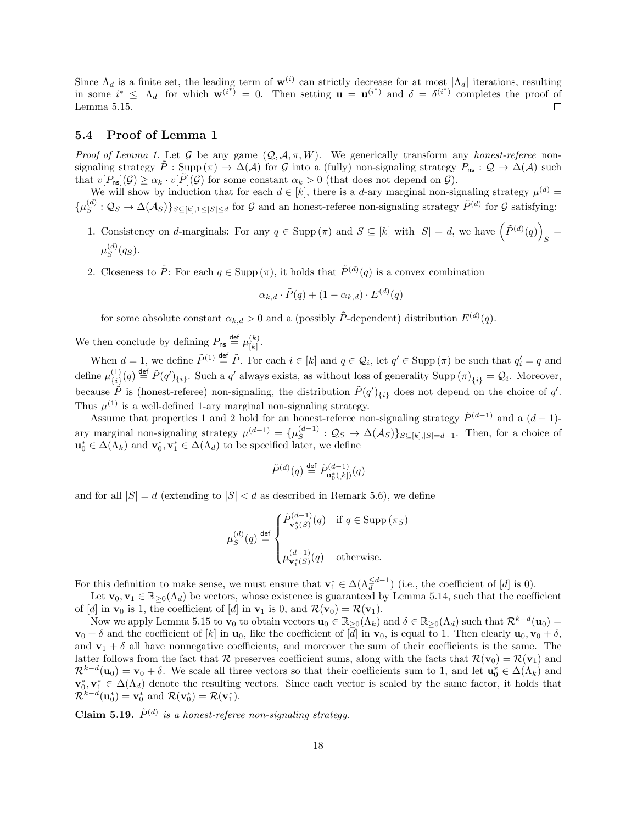Since  $\Lambda_d$  is a finite set, the leading term of  $\mathbf{w}^{(i)}$  can strictly decrease for at most  $|\Lambda_d|$  iterations, resulting in some  $i^* \leq |\Lambda_d|$  for which  $\mathbf{w}^{(i^*)} = 0$ . Then setting  $\mathbf{u} = \mathbf{u}^{(i^*)}$  and  $\delta = \delta^{(i^*)}$  completes the proof of Lemma [5.15.](#page-15-3)  $\Box$ 

### <span id="page-17-0"></span>5.4 Proof of Lemma [1](#page-2-2)

Proof of Lemma [1.](#page-2-2) Let G be any game  $(Q, \mathcal{A}, \pi, W)$ . We generically transform any honest-referee nonsignaling strategy  $P : \text{Supp}(\pi) \to \Delta(\mathcal{A})$  for G into a (fully) non-signaling strategy  $P_{\text{ns}} : \mathcal{Q} \to \Delta(\mathcal{A})$  such that  $v[P_{\text{ns}}](\mathcal{G}) \ge \alpha_k \cdot v[\tilde{P}](\mathcal{G})$  for some constant  $\alpha_k > 0$  (that does not depend on  $\mathcal{G}$ ).

We will show by induction that for each  $d \in [k]$ , there is a d-ary marginal non-signaling strategy  $\mu^{(d)}$  $\{\mu_S^{(d)}\}$  $S(S^{(d)}: \mathcal{Q}_S \to \Delta(\mathcal{A}_S) \}_{S \subseteq [k], 1 \leq |S| \leq d}$  for G and an honest-referee non-signaling strategy  $\tilde{P}^{(d)}$  for G satisfying:

- <span id="page-17-1"></span>1. Consistency on d-marginals: For any  $q \in \text{Supp}(\pi)$  and  $S \subseteq [k]$  with  $|S| = d$ , we have  $(\tilde{P}^{(d)}(q))$  $S =$  $\mu_S^{(d)}$  $\binom{a}{S}(q_S).$
- <span id="page-17-2"></span>2. Closeness to  $\tilde{P}$ : For each  $q \in \text{Supp}(\pi)$ , it holds that  $\tilde{P}^{(d)}(q)$  is a convex combination

$$
\alpha_{k,d} \cdot \tilde{P}(q) + (1 - \alpha_{k,d}) \cdot E^{(d)}(q)
$$

for some absolute constant  $\alpha_{k,d} > 0$  and a (possibly  $\tilde{P}$ -dependent) distribution  $E^{(d)}(q)$ .

We then conclude by defining  $P_{\sf ns} \stackrel{\sf def}{=} \mu_{[k]}^{(k)}$  $\frac{\kappa}{|k|}$ .

When  $d = 1$ , we define  $\tilde{P}^{(1)} \stackrel{\text{def}}{=} \tilde{P}$ . For each  $i \in [k]$  and  $q \in \mathcal{Q}_i$ , let  $q' \in \text{Supp}(\pi)$  be such that  $q'_i = q$  and define  $\mu_{f_i}^{(1)}$  ${^{(1)}_{i}}(q) \stackrel{\text{def}}{=} \tilde{P}(q')_{\{i\}}.$  Such a q' always exists, as without loss of generality Supp  $(\pi)_{\{i\}} = \mathcal{Q}_i.$  Moreover, because  $\tilde{P}$  is (honest-referee) non-signaling, the distribution  $\tilde{P}(q')_{\{i\}}$  does not depend on the choice of q'. Thus  $\mu^{(1)}$  is a well-defined 1-ary marginal non-signaling strategy.

Assume that properties [1](#page-17-1) and [2](#page-17-2) hold for an honest-referee non-signaling strategy  $\tilde{P}^{(d-1)}$  and a  $(d-1)$ ary marginal non-signaling strategy  $\mu^{(d-1)} = {\mu^{(d-1)}_{S}}$  $S^{(a-1)}$ :  $\mathcal{Q}_S \to \Delta(\mathcal{A}_S)$   $S \subseteq [k], |S|=d-1$ . Then, for a choice of  $\mathbf{u}_0^* \in \Delta(\Lambda_k)$  and  $\mathbf{v}_0^*, \mathbf{v}_1^* \in \Delta(\Lambda_d)$  to be specified later, we define

$$
\tilde{P}^{(d)}(q) \stackrel{\text{def}}{=} \tilde{P}^{(d-1)}_{\mathbf{u}_0^*([k])}(q)
$$

and for all  $|S| = d$  (extending to  $|S| < d$  as described in Remark [5.6\)](#page-12-3), we define

$$
\mu_S^{(d)}(q) \stackrel{\text{def}}{=} \begin{cases} \tilde{P}_{\mathbf{v}_0^*(S)}^{(d-1)}(q) & \text{if } q \in \text{Supp}(\pi_S) \\ \mu_{\mathbf{v}_1^*(S)}^{(d-1)}(q) & \text{otherwise.} \end{cases}
$$

For this definition to make sense, we must ensure that  $\mathbf{v}_1^* \in \Delta(\Lambda_d^{\leq d-1})$  (i.e., the coefficient of [d] is 0).

Let  $\mathbf{v}_0, \mathbf{v}_1 \in \mathbb{R}_{\geq 0}(\Lambda_d)$  be vectors, whose existence is guaranteed by Lemma [5.14,](#page-15-2) such that the coefficient of [d] in  $\mathbf{v}_0$  is 1, the coefficient of [d] in  $\mathbf{v}_1$  is 0, and  $\mathcal{R}(\mathbf{v}_0) = \mathcal{R}(\mathbf{v}_1)$ .

Now we apply Lemma [5.15](#page-15-3) to  $\mathbf{v}_0$  to obtain vectors  $\mathbf{u}_0 \in \mathbb{R}_{\geq 0}(\Lambda_k)$  and  $\delta \in \mathbb{R}_{\geq 0}(\Lambda_d)$  such that  $\mathcal{R}^{k-d}(\mathbf{u}_0)$  $\mathbf{v}_0 + \delta$  and the coefficient of  $[k]$  in  $\mathbf{u}_0$ , like the coefficient of  $[d]$  in  $\mathbf{v}_0$ , is equal to 1. Then clearly  $\mathbf{u}_0, \mathbf{v}_0 + \delta$ , and  $\mathbf{v}_1 + \delta$  all have nonnegative coefficients, and moreover the sum of their coefficients is the same. The latter follows from the fact that  $\mathcal{R}$  preserves coefficient sums, along with the facts that  $\mathcal{R}(v_0) = \mathcal{R}(v_1)$  and  $\mathcal{R}^{k-d}(\mathbf{u}_0) = \mathbf{v}_0 + \delta$ . We scale all three vectors so that their coefficients sum to 1, and let  $\mathbf{u}_0^* \in \Delta(\Lambda_k)$  and  $\mathbf{v}_0^*, \mathbf{v}_1^* \in \Delta(\Lambda_d)$  denote the resulting vectors. Since each vector is scaled by the same factor, it holds that  $\mathcal{R}^{k-d}(\mathbf{u}_0^*) = \mathbf{v}_0^*$  and  $\mathcal{R}(\mathbf{v}_0^*) = \mathcal{R}(\mathbf{v}_1^*)$ .

**Claim 5.19.**  $\tilde{P}^{(d)}$  is a honest-referee non-signaling strategy.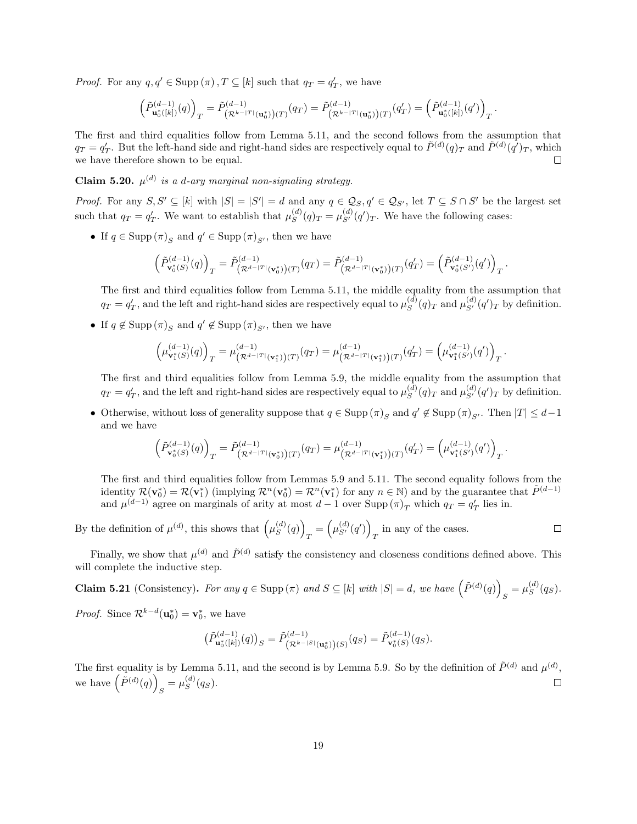*Proof.* For any  $q, q' \in \text{Supp}(\pi), T \subseteq [k]$  such that  $q_T = q'_T$ , we have

$$
\left(\tilde{P}^{(d-1)}_{\mathbf{u}_0^*([k])}(q)\right)_T=\tilde{P}^{(d-1)}_{\left(\mathcal{R}^{k-|T|}(\mathbf{u}_0^*)\right)(T)}(q_T)=\tilde{P}^{(d-1)}_{\left(\mathcal{R}^{k-|T|}(\mathbf{u}_0^*)\right)(T)}(q_T')=\left(\tilde{P}^{(d-1)}_{\mathbf{u}_0^*([k])}(q')\right)_T.
$$

The first and third equalities follow from Lemma [5.11,](#page-14-0) and the second follows from the assumption that  $q_T = q'_T$ . But the left-hand side and right-hand sides are respectively equal to  $\tilde{P}^{(d)}(q)_T$  and  $\tilde{P}^{(d)}(q')_T$ , which we have therefore shown to be equal.  $\Box$ 

**Claim 5.20.**  $\mu^{(d)}$  is a d-ary marginal non-signaling strategy.

*Proof.* For any  $S, S' \subseteq [k]$  with  $|S| = |S'| = d$  and any  $q \in \mathcal{Q}_S, q' \in \mathcal{Q}_{S'}$ , let  $T \subseteq S \cap S'$  be the largest set such that  $q_T = q'_T$ . We want to establish that  $\mu_S^{(d)}$  $S^{(d)}(q)_T = \mu_{S'}^{(d)}(q')_T$ . We have the following cases:

• If  $q \in \text{Supp}(\pi)_{S}$  and  $q' \in \text{Supp}(\pi)_{S'}$ , then we have

$$
\left(\tilde{P}^{(d-1)}_{\mathbf{v}_0^*(S)}(q)\right)_T=\tilde{P}^{(d-1)}_{\left(\mathcal{R}^{d-|T|}(\mathbf{v}_0^*)\right)(T)}(q_T)=\tilde{P}^{(d-1)}_{\left(\mathcal{R}^{d-|T|}(\mathbf{v}_0^*)\right)(T)}(q_T')=\left(\tilde{P}^{(d-1)}_{\mathbf{v}_0^*(S')}(q')\right)_T.
$$

The first and third equalities follow from Lemma [5.11,](#page-14-0) the middle equality from the assumption that  $q_T = q'_T$ , and the left and right-hand sides are respectively equal to  $\mu_S^{(d)}$  $S^{(d)}(q)_T$  and  $\mu_{S'}^{(d)}(q')_T$  by definition.

• If  $q \notin \text{Supp}(\pi)_{S}$  and  $q' \notin \text{Supp}(\pi)_{S'}$ , then we have

$$
\left(\mu^{(d-1)}_{{\bf v}_1^*(S)}(q)\right)_T=\mu^{(d-1)}_{\left(\mathcal{R}^{d-|T|}({\bf v}_1^*)\right)(T)}(q_T)=\mu^{(d-1)}_{\left(\mathcal{R}^{d-|T|}({\bf v}_1^*)\right)(T)}(q_T')=\left(\mu^{(d-1)}_{{\bf v}_1^*(S')}(q')\right)_T.
$$

The first and third equalities follow from Lemma [5.9,](#page-13-0) the middle equality from the assumption that  $q_T = q'_T$ , and the left and right-hand sides are respectively equal to  $\mu_S^{(d)}$  $S^{(d)}(q)_T$  and  $\mu_{S'}^{(d)}(q')_T$  by definition.

• Otherwise, without loss of generality suppose that  $q \in \text{Supp}(\pi)_{S}$  and  $q' \notin \text{Supp}(\pi)_{S'}$ . Then  $|T| \leq d-1$ and we have

$$
\left(\tilde{P}_{\mathbf{v}_0^*(S)}^{(d-1)}(q)\right)_T=\tilde{P}_{\left(\mathcal{R}^{d-1\mathcal{T}}|(\mathbf{v}_0^*)\right)(T)}^{(d-1)}(q_T)=\mu_{\left(\mathcal{R}^{d-1\mathcal{T}}|(\mathbf{v}_1^*)\right)(T)}^{(d-1)}(q_T')=\left(\mu_{\mathbf{v}_1^*(S')}^{(d-1)}(q')\right)_T.
$$

The first and third equalities follow from Lemmas [5.9](#page-13-0) and [5.11.](#page-14-0) The second equality follows from the identity  $\mathcal{R}(\mathbf{v}_0^*) = \mathcal{R}(\mathbf{v}_1^*)$  (implying  $\mathcal{R}^n(\mathbf{v}_0^*) = \mathcal{R}^n(\mathbf{v}_1^*)$  for any  $n \in \mathbb{N}$ ) and by the guarantee that  $\tilde{P}^{(d-1)}$ and  $\mu^{(d-1)}$  agree on marginals of arity at most  $d-1$  over  $\text{Supp}(\pi)_T$  which  $q_T = q'_T$  lies in.

By the definition of  $\mu^{(d)}$ , this shows that  $\mu^{(d)}_S$  $\binom{d}{S}(q)$  $T = \left(\mu_{S'}^{(d)}(q')\right)$  $\Box$ in any of the cases.

Finally, we show that  $\mu^{(d)}$  and  $\tilde{P}^{(d)}$  satisfy the consistency and closeness conditions defined above. This will complete the inductive step.

**Claim 5.21** (Consistency). For any  $q \in \text{Supp}(\pi)$  and  $S \subseteq [k]$  with  $|S| = d$ , we have  $(\tilde{P}^{(d)}(q))$  $S = \mu_S^{(d)}$  $\binom{a}{S}(q_S)$ .

*Proof.* Since  $\mathcal{R}^{k-d}(\mathbf{u}_0^*) = \mathbf{v}_0^*$ , we have

$$
\left(\tilde{P}_{\mathbf{u}_0^*(k|)}^{(d-1)}(q)\right)_S = \tilde{P}_{\left(\mathcal{R}^{k-|S|}(\mathbf{u}_0^*)\right)(S)}^{(d-1)}(q_S) = \tilde{P}_{\mathbf{v}_0^*(S)}^{(d-1)}(q_S).
$$

The first equality is by Lemma [5.11,](#page-14-0) and the second is by Lemma [5.9.](#page-13-0) So by the definition of  $\tilde{P}^{(d)}$  and  $\mu^{(d)}$ , we have  $(\tilde{P}^{(d)}(q))$  $S = \mu_S^{(d)}$  $\binom{a}{S}(q_S).$  $\Box$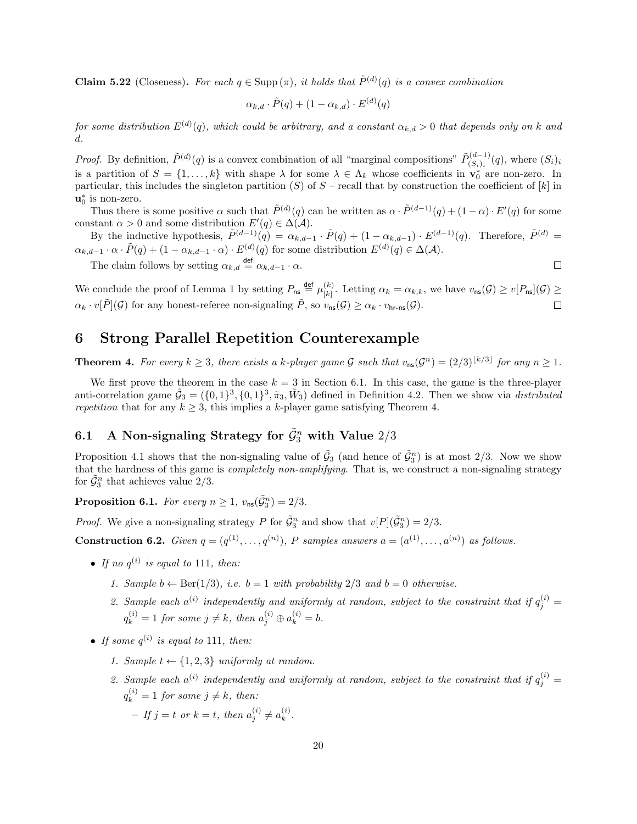**Claim 5.22** (Closeness). For each  $q \in \text{Supp}(\pi)$ , it holds that  $\tilde{P}^{(d)}(q)$  is a convex combination

$$
\alpha_{k,d} \cdot \tilde{P}(q) + (1 - \alpha_{k,d}) \cdot E^{(d)}(q)
$$

for some distribution  $E^{(d)}(q)$ , which could be arbitrary, and a constant  $\alpha_{k,d} > 0$  that depends only on k and d.

*Proof.* By definition,  $\tilde{P}^{(d)}(q)$  is a convex combination of all "marginal compositions"  $\tilde{P}^{(d-1)}_{(S_1)}$  $(S_i)_{i}^{(a-1)}(q)$ , where  $(S_i)_{i}$ is a partition of  $S = \{1, ..., k\}$  with shape  $\lambda$  for some  $\lambda \in \Lambda_k$  whose coefficients in  $\mathbf{v}_0^*$  are non-zero. In particular, this includes the singleton partition (S) of  $S$  – recall that by construction the coefficient of  $[k]$  in  $\mathbf{u}_0^*$  is non-zero.

Thus there is some positive  $\alpha$  such that  $\tilde{P}^{(d)}(q)$  can be written as  $\alpha \cdot \tilde{P}^{(d-1)}(q) + (1-\alpha) \cdot E'(q)$  for some constant  $\alpha > 0$  and some distribution  $E'(q) \in \Delta(\mathcal{A})$ .

By the inductive hypothesis,  $\tilde{P}^{(d-1)}(\tilde{q}) = \alpha_{k,d-1} \cdot \tilde{P}(q) + (1 - \alpha_{k,d-1}) \cdot E^{(d-1)}(q)$ . Therefore,  $\tilde{P}^{(d)} =$  $\alpha_{k,d-1} \cdot \alpha \cdot \tilde{P}(q) + (1 - \alpha_{k,d-1} \cdot \alpha) \cdot E^{(d)}(q)$  for some distribution  $E^{(d)}(q) \in \Delta(\mathcal{A})$ .

The claim follows by setting  $\alpha_{k,d} \stackrel{\text{def}}{=} \alpha_{k,d-1} \cdot \alpha$ .

We conclude the proof of Lemma [1](#page-2-2) by setting  $P_{\text{ns}} \stackrel{\text{def}}{=} \mu_{k}^{(k)}$  $\binom{k}{k}$ . Letting  $\alpha_k = \alpha_{k,k}$ , we have  $v_{\text{ns}}(\mathcal{G}) \geq v[P_{\text{ns}}](\mathcal{G}) \geq$  $\alpha_k \cdot v[\tilde{P}](\mathcal{G})$  for any honest-referee non-signaling  $\tilde{P}$ , so  $v_{\text{ns}}(\mathcal{G}) \geq \alpha_k \cdot v_{\text{hr-ns}}(\mathcal{G})$ .  $\Box$ 

# <span id="page-19-0"></span>6 Strong Parallel Repetition Counterexample

**Theorem 4.** For every  $k \geq 3$ , there exists a k-player game G such that  $v_{\text{ns}}(\mathcal{G}^n) = (2/3)^{\lfloor k/3 \rfloor}$  for any  $n \geq 1$ .

We first prove the theorem in the case  $k = 3$  in Section [6.1.](#page-19-1) In this case, the game is the three-player anti-correlation game  $\tilde{G}_3 = (\{0,1\}^3, \{0,1\}^3, \tilde{\pi}_3, \tilde{W}_3)$  defined in Definition [4.2.](#page-9-1) Then we show via distributed repetition that for any  $k \geq 3$ , this implies a k-player game satisfying Theorem [4.](#page-2-4)

# <span id="page-19-1"></span>6.1 A Non-signaling Strategy for  $\tilde{\mathcal{G}}_{3}^{n}$  with Value  $2/3$

Proposition [4.1](#page-9-4) shows that the non-signaling value of  $\tilde{G}_3$  (and hence of  $\tilde{G}_3^n$ ) is at most 2/3. Now we show that the hardness of this game is *completely non-amplifying*. That is, we construct a non-signaling strategy for  $\tilde{\mathcal{G}}_3^n$  that achieves value  $2/3$ .

<span id="page-19-2"></span>**Proposition 6.1.** For every  $n \geq 1$ ,  $v_{\text{ns}}(\tilde{\mathcal{G}}_3^n) = 2/3$ .

*Proof.* We give a non-signaling strategy P for  $\tilde{G}_3^n$  and show that  $v[P](\tilde{G}_3^n) = 2/3$ .

**Construction 6.2.** Given  $q = (q^{(1)}, \ldots, q^{(n)})$ , P samples answers  $a = (a^{(1)}, \ldots, a^{(n)})$  as follows.

- If no  $q^{(i)}$  is equal to 111, then:
	- 1. Sample  $b \leftarrow \text{Ber}(1/3)$ , i.e.  $b = 1$  with probability  $2/3$  and  $b = 0$  otherwise.
	- 2. Sample each  $a^{(i)}$  independently and uniformly at random, subject to the constraint that if  $q_j^{(i)} =$  $q_k^{(i)} = 1$  for some  $j \neq k$ , then  $a_j^{(i)} \oplus a_k^{(i)} = b$ .
- If some  $q^{(i)}$  is equal to 111, then:
	- 1. Sample  $t \leftarrow \{1, 2, 3\}$  uniformly at random.
	- 2. Sample each  $a^{(i)}$  independently and uniformly at random, subject to the constraint that if  $q_j^{(i)} =$  $q_k^{(i)} = 1$  for some  $j \neq k$ , then:
		- $-If j = t$  or  $k = t$ , then  $a_j^{(i)} \neq a_k^{(i)}$  $\mathbf{r}^{(i)}_k$ .

 $\Box$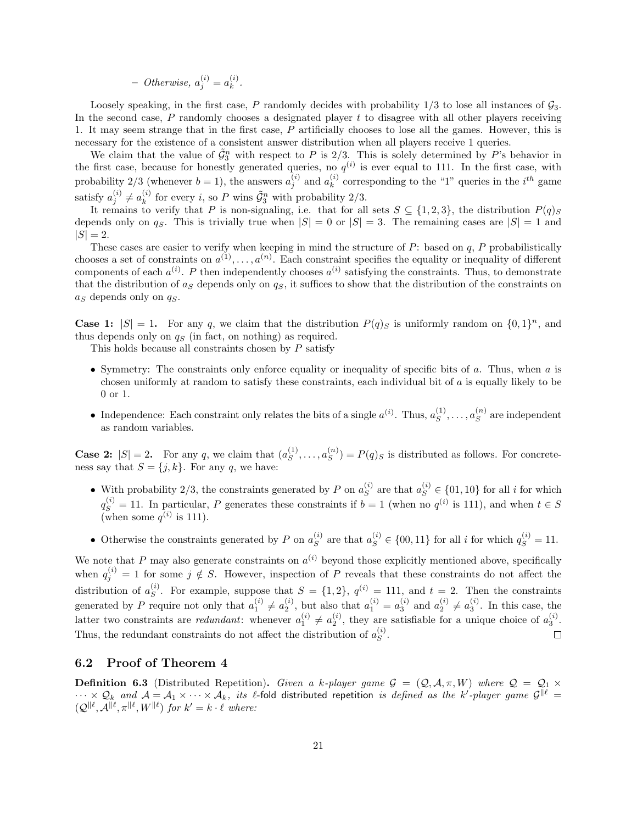- Otherwise, 
$$
a_j^{(i)} = a_k^{(i)}
$$
.

Loosely speaking, in the first case, P randomly decides with probability  $1/3$  to lose all instances of  $\mathcal{G}_3$ . In the second case,  $P$  randomly chooses a designated player  $t$  to disagree with all other players receiving 1. It may seem strange that in the first case, P artificially chooses to lose all the games. However, this is necessary for the existence of a consistent answer distribution when all players receive 1 queries.

We claim that the value of  $\tilde{\mathcal{G}}_3^n$  with respect to P is 2/3. This is solely determined by P's behavior in the first case, because for honestly generated queries, no  $q^{(i)}$  is ever equal to 111. In the first case, with probability 2/3 (whenever  $b = 1$ ), the answers  $a_j^{(i)}$  and  $a_k^{(i)}$  $\binom{i}{k}$  corresponding to the "1" queries in the  $i^{th}$  game satisfy  $a_j^{(i)} \neq a_k^{(i)}$  $\tilde{\mathcal{L}}_k^{(i)}$  for every *i*, so *P* wins  $\tilde{\mathcal{G}}_3^n$  with probability 2/3.

It remains to verify that P is non-signaling, i.e. that for all sets  $S \subseteq \{1,2,3\}$ , the distribution  $P(q)_S$ depends only on  $q_S$ . This is trivially true when  $|S| = 0$  or  $|S| = 3$ . The remaining cases are  $|S| = 1$  and  $|S| = 2.$ 

These cases are easier to verify when keeping in mind the structure of  $P$ : based on  $q$ ,  $P$  probabilistically chooses a set of constraints on  $a^{(1)}, \ldots, a^{(n)}$ . Each constraint specifies the equality or inequality of different components of each  $a^{(i)}$ . P then independently chooses  $a^{(i)}$  satisfying the constraints. Thus, to demonstrate that the distribution of  $a_S$  depends only on  $q_S$ , it suffices to show that the distribution of the constraints on  $a<sub>S</sub>$  depends only on  $q<sub>S</sub>$ .

**Case 1:**  $|S| = 1$ . For any q, we claim that the distribution  $P(q)_S$  is uniformly random on  $\{0, 1\}^n$ , and thus depends only on  $q_S$  (in fact, on nothing) as required.

This holds because all constraints chosen by P satisfy

- Symmetry: The constraints only enforce equality or inequality of specific bits of  $a$ . Thus, when  $a$  is chosen uniformly at random to satisfy these constraints, each individual bit of a is equally likely to be 0 or 1.
- Independence: Each constraint only relates the bits of a single  $a^{(i)}$ . Thus,  $a_S^{(1)}$  $s^{(1)}, \ldots, a_s^{(n)}$  $s^{(n)}$  are independent as random variables.

**Case 2:**  $|S| = 2$ . For any q, we claim that  $(a_S^{(1)})$  $s^{(1)}, \ldots, a_s^{(n)}$  $S^{(n)}$ ) =  $P(q)$ <sub>S</sub> is distributed as follows. For concreteness say that  $S = \{j, k\}$ . For any q, we have:

- With probability 2/3, the constraints generated by P on  $a_S^{(i)}$  $S<sup>(i)</sup>$  are that  $a_S^{(i)} \in \{01, 10\}$  for all *i* for which  $q_S^{(i)} = 11$ . In particular, P generates these constraints if  $b = 1$  (when no  $q^{(i)}$  is 111), and when  $t \in S$ (when some  $q^{(i)}$  is 111).
- Otherwise the constraints generated by P on  $a_S^{(i)}$  $s^{(i)}$  are that  $a_S^{(i)} \in \{00, 11\}$  for all *i* for which  $q_S^{(i)} = 11$ .

We note that P may also generate constraints on  $a^{(i)}$  beyond those explicitly mentioned above, specifically when  $q_j^{(i)} = 1$  for some  $j \notin S$ . However, inspection of P reveals that these constraints do not affect the distribution of  $a_s^{(i)}$  $S^{(i)}$ . For example, suppose that  $S = \{1, 2\}$ ,  $q^{(i)} = 111$ , and  $t = 2$ . Then the constraints generated by P require not only that  $a_1^{(i)} \neq a_2^{(i)}$ , but also that  $a_1^{(i)} = a_3^{(i)}$  and  $a_2^{(i)} \neq a_3^{(i)}$ . In this case, the latter two constraints are *redundant*: whenever  $a_1^{(i)} \neq a_2^{(i)}$ , they are satisfiable for a unique choice of  $a_3^{(i)}$ . Thus, the redundant constraints do not affect the distribution of  $a_S^{(i)}$  $S^{(i)}$ .  $\Box$ 

### 6.2 Proof of Theorem [4](#page-2-4)

**Definition 6.3** (Distributed Repetition). Given a k-player game  $\mathcal{G} = (\mathcal{Q}, \mathcal{A}, \pi, W)$  where  $\mathcal{Q} = \mathcal{Q}_1 \times$  $\cdots \times \mathcal{Q}_k$  and  $\mathcal{A}=\mathcal{A}_1\times \cdots \times \mathcal{A}_k,$  its  $\ell$ -fold distributed repetition is defined as the k'-player game  $\mathcal{G}^{\|\ell\|}$  $(Q^{\parallel \ell}, \mathcal{A}^{\parallel \ell}, \pi^{\parallel \ell}, W^{\parallel \ell})$  for  $k' = k \cdot \ell$  where: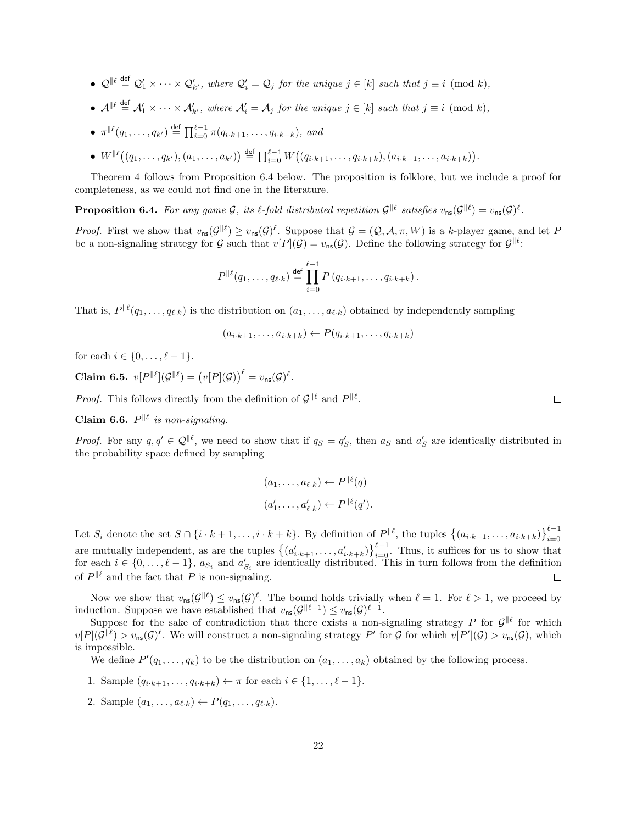- $\mathcal{Q}^{\parallel \ell} \stackrel{\text{def}}{=} \mathcal{Q}'_1 \times \cdots \times \mathcal{Q}'_{k'}$ , where  $\mathcal{Q}'_i = \mathcal{Q}_j$  for the unique  $j \in [k]$  such that  $j \equiv i \pmod{k}$ ,
- $\mathcal{A}^{\parallel \ell} \stackrel{\text{def}}{=} \mathcal{A}'_1 \times \cdots \times \mathcal{A}'_{k'}$ , where  $\mathcal{A}'_i = \mathcal{A}_j$  for the unique  $j \in [k]$  such that  $j \equiv i \pmod{k}$ ,
- $\pi^{\parallel \ell}(q_1, \ldots, q_{k'}) \stackrel{\text{def}}{=} \prod_{i=0}^{\ell-1} \pi(q_{i \cdot k+1}, \ldots, q_{i \cdot k+k}),$  and
- $W^{\parallel \ell}((q_1,\ldots,q_{k'}),(a_1,\ldots,a_{k'})) \stackrel{\text{def}}{=} \prod_{i=0}^{\ell-1} W((q_{i\cdot k+1},\ldots,q_{i\cdot k+k}),(a_{i\cdot k+1},\ldots,a_{i\cdot k+k})).$

Theorem [4](#page-2-4) follows from Proposition [6.4](#page-21-0) below. The proposition is folklore, but we include a proof for completeness, as we could not find one in the literature.

<span id="page-21-0"></span>**Proposition 6.4.** For any game G, its  $\ell$ -fold distributed repetition  $\mathcal{G}^{\|\ell\|}$  satisfies  $v_{\text{ns}}(\mathcal{G}^{\|\ell\|}) = v_{\text{ns}}(\mathcal{G})^{\ell}$ .

*Proof.* First we show that  $v_{\text{ns}}(\mathcal{G}^{\|\ell}) \ge v_{\text{ns}}(\mathcal{G})^{\ell}$ . Suppose that  $\mathcal{G} = (\mathcal{Q}, \mathcal{A}, \pi, W)$  is a k-player game, and let P be a non-signaling strategy for G such that  $v[P](\mathcal{G}) = v_{\text{ns}}(\mathcal{G})$ . Define the following strategy for  $\mathcal{G}^{\parallel \ell}$ .

$$
P^{\|\ell}(q_1,\ldots,q_{\ell\cdot k}) \stackrel{\text{def}}{=} \prod_{i=0}^{\ell-1} P(q_{i\cdot k+1},\ldots,q_{i\cdot k+k}).
$$

That is,  $P^{\|\ell}(q_1,\ldots,q_{\ell\cdot k})$  is the distribution on  $(a_1,\ldots,a_{\ell\cdot k})$  obtained by independently sampling

$$
(a_{i\cdot k+1},\ldots,a_{i\cdot k+k}) \leftarrow P(q_{i\cdot k+1},\ldots,q_{i\cdot k+k})
$$

for each  $i \in \{0, ..., \ell - 1\}.$ 

Claim 6.5.  $v[P||\ell](\mathcal{G}||\ell) = (v[P](\mathcal{G}))^{\ell} = v_{\text{ns}}(\mathcal{G})^{\ell}.$ 

*Proof.* This follows directly from the definition of  $\mathcal{G}^{\|\ell\|}$  and  $P^{\|\ell\|}$ .

Claim 6.6.  $P^{\parallel \ell}$  is non-signaling.

*Proof.* For any  $q, q' \in \mathcal{Q}^{\parallel \ell}$ , we need to show that if  $q_S = q'_S$ , then  $a_S$  and  $a'_S$  are identically distributed in the probability space defined by sampling

$$
(a_1, \ldots, a_{\ell \cdot k}) \leftarrow P^{\parallel \ell}(q)
$$

$$
(a'_1, \ldots, a'_{\ell \cdot k}) \leftarrow P^{\parallel \ell}(q').
$$

Let  $S_i$  denote the set  $S \cap \{i \cdot k+1,\ldots,i \cdot k+k\}$ . By definition of  $P^{\parallel \ell}$ , the tuples  $\{(a_{i \cdot k+1},\ldots,a_{i \cdot k+k})\}_{i=0}^{\ell-1}$  $i=0$ are mutually independent, as are the tuples  $\{(a'_{i,k+1}, \ldots, a'_{i,k+k})\}_{i=0}^{\ell-1}$ . Thus, it suffices for us to show that for each  $i \in \{0, \ldots, \ell - 1\}$ ,  $a_{S_i}$  and  $a'_{S_i}$  are identically distributed. This in turn follows from the definition of  $P^{\parallel \ell}$  and the fact that P is non-signaling.  $\Box$ 

Now we show that  $v_{\text{ns}}(\mathcal{G}^{\|\ell}) \leq v_{\text{ns}}(\mathcal{G})^{\ell}$ . The bound holds trivially when  $\ell = 1$ . For  $\ell > 1$ , we proceed by induction. Suppose we have established that  $v_{\text{ns}}(\mathcal{G}^{\|\ell-1}) \leq v_{\text{ns}}(\mathcal{G})^{\ell-1}$ .

Suppose for the sake of contradiction that there exists a non-signaling strategy P for  $\mathcal{G}^{\|\ell\|}$  for which  $v[P](\mathcal{G}^{\|\ell}) > v_{\text{ns}}(\mathcal{G})^{\ell}$ . We will construct a non-signaling strategy P' for G for which  $v[P'](\mathcal{G}) > v_{\text{ns}}(\mathcal{G})$ , which is impossible.

We define  $P'(q_1,\ldots,q_k)$  to be the distribution on  $(a_1,\ldots,a_k)$  obtained by the following process.

- 1. Sample  $(q_{i \cdot k+1}, \ldots, q_{i \cdot k+k}) \leftarrow \pi$  for each  $i \in \{1, \ldots, \ell 1\}.$
- 2. Sample  $(a_1, ..., a_{\ell \cdot k}) \leftarrow P(q_1, ..., q_{\ell \cdot k}).$

 $\Box$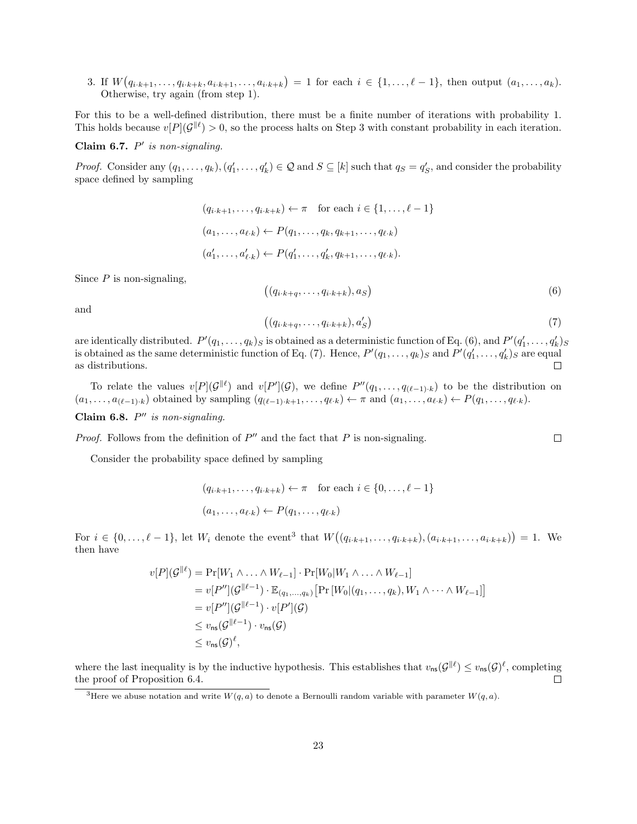3. If  $W(q_{i \cdot k+1}, \ldots, q_{i \cdot k+k}, a_{i \cdot k+1}, \ldots, a_{i \cdot k+k}) = 1$  for each  $i \in \{1, \ldots, \ell-1\}$ , then output  $(a_1, \ldots, a_k)$ . Otherwise, try again (from step 1).

For this to be a well-defined distribution, there must be a finite number of iterations with probability 1. This holds because  $v[P](\mathcal{G}^{\|\ell}) > 0$ , so the process halts on Step 3 with constant probability in each iteration.

Claim 6.7.  $P'$  is non-signaling.

*Proof.* Consider any  $(q_1, \ldots, q_k)$ ,  $(q'_1, \ldots, q'_k) \in \mathcal{Q}$  and  $S \subseteq [k]$  such that  $q_S = q'_S$ , and consider the probability space defined by sampling

$$
(q_{i\cdot k+1}, \dots, q_{i\cdot k+k}) \leftarrow \pi \quad \text{for each } i \in \{1, \dots, \ell-1\}
$$

$$
(a_1, \dots, a_{\ell\cdot k}) \leftarrow P(q_1, \dots, q_k, q_{k+1}, \dots, q_{\ell\cdot k})
$$

$$
(a'_1, \dots, a'_{\ell\cdot k}) \leftarrow P(q'_1, \dots, q'_k, q_{k+1}, \dots, q_{\ell\cdot k}).
$$

Since  $P$  is non-signaling,

<span id="page-22-0"></span>
$$
((q_{i\cdot k+q},\ldots,q_{i\cdot k+k}),a_S)
$$
\n<sup>(6)</sup>

and

<span id="page-22-1"></span>
$$
((q_{i\cdot k+q},\ldots,q_{i\cdot k+k}),a'_{S})\tag{7}
$$

 $\Box$ 

are identically distributed.  $P'(q_1,\ldots,q_k)_S$  is obtained as a deterministic function of Eq. [\(6\)](#page-22-0), and  $P'(q'_1,\ldots,q'_k)_S$ is obtained as the same deterministic function of Eq. [\(7\)](#page-22-1). Hence,  $P'(q_1,\ldots,q_k)$  and  $P'(q'_1,\ldots,q'_k)$  are equal as distributions.  $\Box$ 

To relate the values  $v[P](\mathcal{G}^{\|\ell})$  and  $v[P'](\mathcal{G})$ , we define  $P''(q_1,\ldots,q_{(\ell-1),k})$  to be the distribution on  $(a_1, \ldots, a_{(\ell-1)\cdot k})$  obtained by sampling  $(q_{(\ell-1)\cdot k+1}, \ldots, q_{\ell\cdot k}) \leftarrow \pi$  and  $(a_1, \ldots, a_{\ell\cdot k}) \leftarrow P(q_1, \ldots, q_{\ell\cdot k}).$ 

Claim 6.8.  $P''$  is non-signaling.

*Proof.* Follows from the definition of  $P''$  and the fact that P is non-signaling.

Consider the probability space defined by sampling

$$
(q_{i\cdot k+1}, \dots, q_{i\cdot k+k}) \leftarrow \pi \quad \text{for each } i \in \{0, \dots, \ell-1\}
$$

$$
(a_1, \dots, a_{\ell \cdot k}) \leftarrow P(q_1, \dots, q_{\ell \cdot k})
$$

For  $i \in \{0, ..., \ell - 1\}$ , let  $W_i$  denote the event<sup>[3](#page-22-2)</sup> that  $W((q_{i \cdot k+1}, ..., q_{i \cdot k+k}), (a_{i \cdot k+1}, ..., a_{i \cdot k+k})) = 1$ . We then have

$$
v[P](\mathcal{G}^{\parallel \ell}) = \Pr[W_1 \wedge \ldots \wedge W_{\ell-1}] \cdot \Pr[W_0 | W_1 \wedge \ldots \wedge W_{\ell-1}]
$$
  
\n
$$
= v[P''](\mathcal{G}^{\parallel \ell-1}) \cdot \mathbb{E}_{(q_1, \ldots, q_k)} [\Pr[W_0 | (q_1, \ldots, q_k), W_1 \wedge \cdots \wedge W_{\ell-1}]]
$$
  
\n
$$
= v[P''](\mathcal{G}^{\parallel \ell-1}) \cdot v[P'](\mathcal{G})
$$
  
\n
$$
\leq v_{\text{ns}}(\mathcal{G}^{\parallel \ell-1}) \cdot v_{\text{ns}}(\mathcal{G})
$$
  
\n
$$
\leq v_{\text{ns}}(\mathcal{G})^{\ell},
$$

where the last inequality is by the inductive hypothesis. This establishes that  $v_{\text{ns}}(\mathcal{G}^{\parallel \ell}) \leq v_{\text{ns}}(\mathcal{G})^{\ell}$ , completing the proof of Proposition [6.4.](#page-21-0)  $\Box$ 

<span id="page-22-2"></span><sup>3</sup>Here we abuse notation and write  $W(q, a)$  to denote a Bernoulli random variable with parameter  $W(q, a)$ .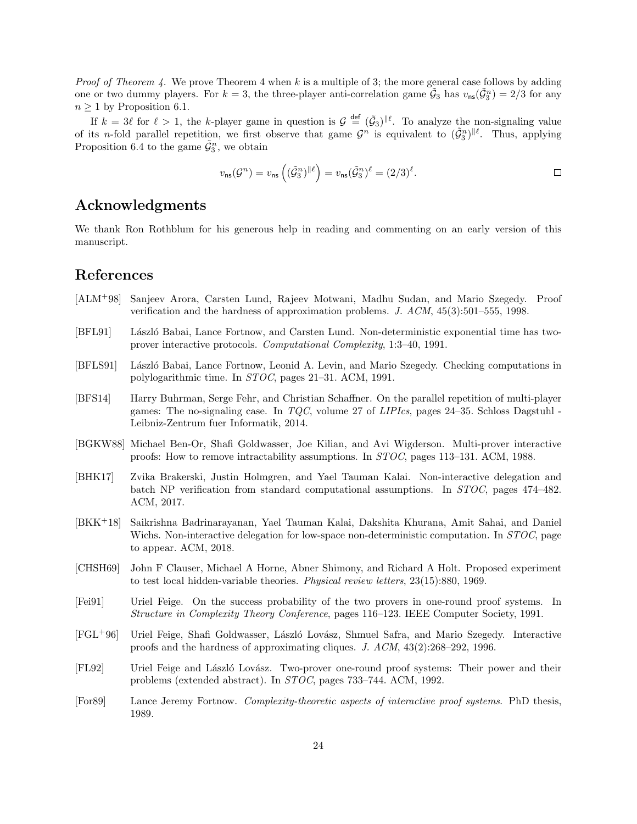*Proof of Theorem [4.](#page-2-4)* We prove Theorem [4](#page-2-4) when k is a multiple of 3; the more general case follows by adding one or two dummy players. For  $k=3$ , the three-player anti-correlation game  $\tilde{G}_3$  has  $v_{\text{ns}}(\tilde{G}_3^n)=2/3$  for any  $n \geq 1$  by Proposition [6.1.](#page-19-2)

If  $k = 3\ell$  for  $\ell > 1$ , the k-player game in question is  $\mathcal{G} \stackrel{\text{def}}{=} (\tilde{\mathcal{G}}_3)^{\parallel \ell}$ . To analyze the non-signaling value of its *n*-fold parallel repetition, we first observe that game  $\mathcal{G}^n$  is equivalent to  $(\tilde{\mathcal{G}}_3^n)^{\|\ell}$ . Thus, applying Proposition [6.4](#page-21-0) to the game  $\tilde{\mathcal{G}}_3^n$ , we obtain

$$
v_{\rm ns}(\mathcal{G}^n) = v_{\rm ns}\left((\tilde{\mathcal{G}}_3^n)^{\parallel \ell}\right) = v_{\rm ns}(\tilde{\mathcal{G}}_3^n)^{\ell} = (2/3)^{\ell}.
$$

# Acknowledgments

We thank Ron Rothblum for his generous help in reading and commenting on an early version of this manuscript.

# References

- <span id="page-23-4"></span>[ALM+98] Sanjeev Arora, Carsten Lund, Rajeev Motwani, Madhu Sudan, and Mario Szegedy. Proof verification and the hardness of approximation problems. J. ACM, 45(3):501–555, 1998.
- <span id="page-23-1"></span>[BFL91] László Babai, Lance Fortnow, and Carsten Lund. Non-deterministic exponential time has twoprover interactive protocols. Computational Complexity, 1:3–40, 1991.
- <span id="page-23-2"></span>[BFLS91] László Babai, Lance Fortnow, Leonid A. Levin, and Mario Szegedy. Checking computations in polylogarithmic time. In STOC, pages 21–31. ACM, 1991.
- <span id="page-23-11"></span>[BFS14] Harry Buhrman, Serge Fehr, and Christian Schaffner. On the parallel repetition of multi-player games: The no-signaling case. In  $TQC$ , volume 27 of *LIPIcs*, pages 24–35. Schloss Dagstuhl -Leibniz-Zentrum fuer Informatik, 2014.
- <span id="page-23-0"></span>[BGKW88] Michael Ben-Or, Shafi Goldwasser, Joe Kilian, and Avi Wigderson. Multi-prover interactive proofs: How to remove intractability assumptions. In STOC, pages 113–131. ACM, 1988.
- <span id="page-23-9"></span>[BHK17] Zvika Brakerski, Justin Holmgren, and Yael Tauman Kalai. Non-interactive delegation and batch NP verification from standard computational assumptions. In STOC, pages 474–482. ACM, 2017.
- <span id="page-23-10"></span>[BKK+18] Saikrishna Badrinarayanan, Yael Tauman Kalai, Dakshita Khurana, Amit Sahai, and Daniel Wichs. Non-interactive delegation for low-space non-deterministic computation. In *STOC*, page to appear. ACM, 2018.
- <span id="page-23-8"></span>[CHSH69] John F Clauser, Michael A Horne, Abner Shimony, and Richard A Holt. Proposed experiment to test local hidden-variable theories. Physical review letters, 23(15):880, 1969.
- <span id="page-23-7"></span>[Fei91] Uriel Feige. On the success probability of the two provers in one-round proof systems. In Structure in Complexity Theory Conference, pages 116–123. IEEE Computer Society, 1991.
- <span id="page-23-3"></span>[FGL<sup>+</sup>96] Uriel Feige, Shafi Goldwasser, László Lovász, Shmuel Safra, and Mario Szegedy. Interactive proofs and the hardness of approximating cliques. J. ACM, 43(2):268–292, 1996.
- <span id="page-23-5"></span>[FL92] Uriel Feige and László Lovász. Two-prover one-round proof systems: Their power and their problems (extended abstract). In STOC, pages 733–744. ACM, 1992.
- <span id="page-23-6"></span>[For89] Lance Jeremy Fortnow. Complexity-theoretic aspects of interactive proof systems. PhD thesis, 1989.